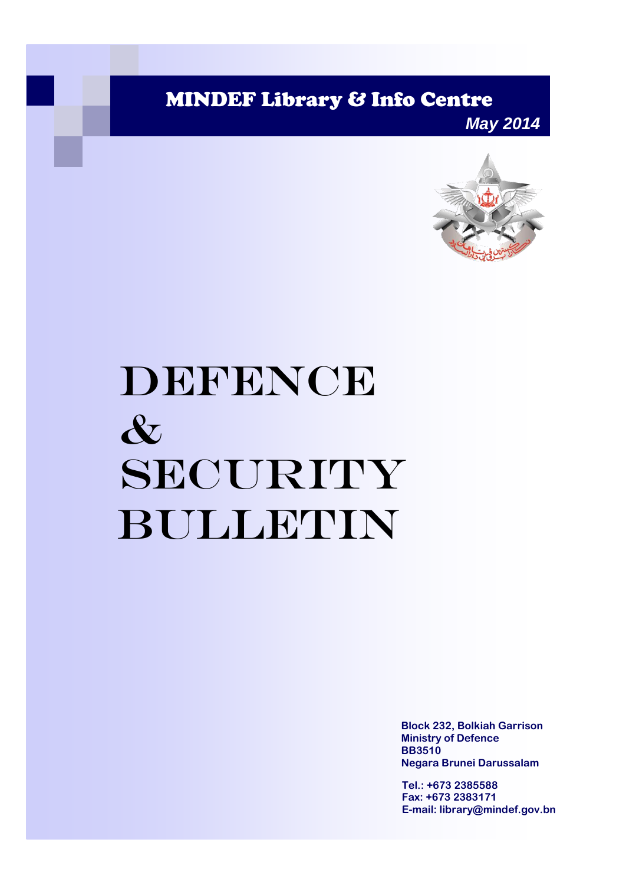MINDEF Library & Info Centre

*May 2014*



# DEFENCE & SECURITY Bulletin

**Block 232, Bolkiah Garrison Ministry of Defence BB3510 Negara Brunei Darussalam**

**Tel.: +673 2385588 Fax: +673 2383171 E-mail: library@mindef.gov.bn**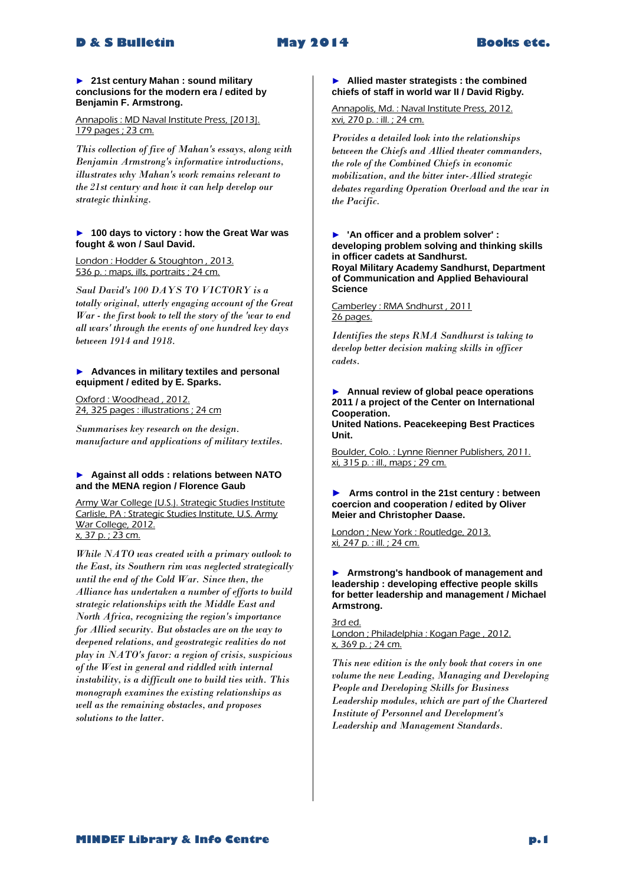#### ► **21st century Mahan : sound military conclusions for the modern era / edited by Benjamin F. Armstrong.**

#### Annapolis : MD Naval Institute Press, [2013]. 179 pages ; 23 cm.

*This collection of five of Mahan's essays, along with Benjamin Armstrong's informative introductions, illustrates why Mahan's work remains relevant to the 21st century and how it can help develop our strategic thinking.* 

#### ► **100 days to victory : how the Great War was fought & won / Saul David.**

London : Hodder & Stoughton, 2013. 536 p. : maps, ills, portraits ; 24 cm.

*Saul David's 100 DAYS TO VICTORY is a totally original, utterly engaging account of the Great War - the first book to tell the story of the 'war to end all wars' through the events of one hundred key days between 1914 and 1918.* 

#### ► **Advances in military textiles and personal equipment / edited by E. Sparks.**

Oxford : Woodhead , 2012. 24, 325 pages : illustrations ; 24 cm

*Summarises key research on the design. manufacture and applications of military textiles.* 

#### ► **Against all odds : relations between NATO and the MENA region / Florence Gaub**

Army War College (U.S.). Strategic Studies Institute Carlisle, PA : Strategic Studies Institute, U.S. Army War College, 2012. x, 37 p. ; 23 cm.

*While NATO was created with a primary outlook to the East, its Southern rim was neglected strategically until the end of the Cold War. Since then, the Alliance has undertaken a number of efforts to build strategic relationships with the Middle East and North Africa, recognizing the region's importance for Allied security. But obstacles are on the way to deepened relations, and geostrategic realities do not play in NATO's favor: a region of crisis, suspicious of the West in general and riddled with internal instability, is a difficult one to build ties with. This monograph examines the existing relationships as well as the remaining obstacles, and proposes solutions to the latter.* 

#### ► **Allied master strategists : the combined chiefs of staff in world war II / David Rigby.**

Annapolis, Md. : Naval Institute Press, 2012. xvi, 270 p. : ill. ; 24 cm.

*Provides a detailed look into the relationships between the Chiefs and Allied theater commanders, the role of the Combined Chiefs in economic mobilization, and the bitter inter-Allied strategic debates regarding Operation Overload and the war in the Pacific.* 

► **'An officer and a problem solver' : developing problem solving and thinking skills in officer cadets at Sandhurst. Royal Military Academy Sandhurst, Department of Communication and Applied Behavioural Science**

Camberley : RMA Sndhurst , 2011 26 pages.

*Identifies the steps RMA Sandhurst is taking to develop better decision making skills in officer cadets.* 

#### ► **Annual review of global peace operations 2011 / a project of the Center on International Cooperation.**

**United Nations. Peacekeeping Best Practices Unit.**

Boulder, Colo. : Lynne Rienner Publishers, 2011. xi, 315 p. : ill., maps ; 29 cm.

#### **► Arms control in the 21st century : between coercion and cooperation / edited by Oliver Meier and Christopher Daase.**

London ; New York : Routledge, 2013. xi, 247 p. : ill. ; 24 cm.

► **Armstrong's handbook of management and leadership : developing effective people skills for better leadership and management / Michael Armstrong.**

3rd ed. London ; Philadelphia : Kogan Page , 2012. x, 369 p. ; 24 cm.

*This new edition is the only book that covers in one volume the new Leading, Managing and Developing People and Developing Skills for Business Leadership modules, which are part of the Chartered Institute of Personnel and Development's Leadership and Management Standards.*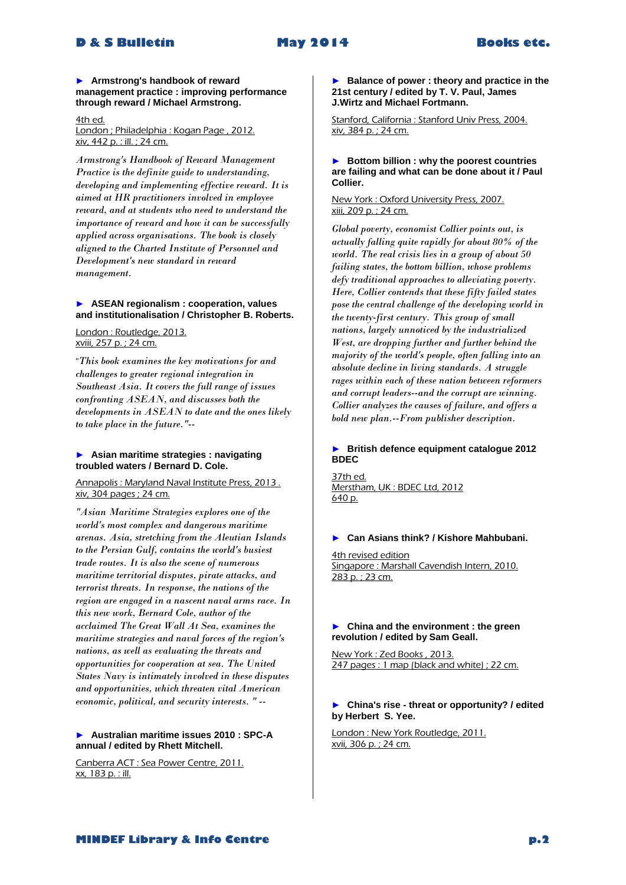#### ► **Armstrong's handbook of reward management practice : improving performance through reward / Michael Armstrong.**

4th ed. London ; Philadelphia : Kogan Page , 2012. xiv, 442 p. : ill. ; 24 cm.

*Armstrong's Handbook of Reward Management Practice is the definite guide to understanding, developing and implementing effective reward. It is aimed at HR practitioners involved in employee reward, and at students who need to understand the importance of reward and how it can be successfully applied across organisations. The book is closely aligned to the Charted Institute of Personnel and Development's new standard in reward management.* 

#### ► **ASEAN regionalism : cooperation, values and institutionalisation / Christopher B. Roberts.**

London : Routledge, 2013. xviii, 257 p. ; 24 cm.

"*This book examines the key motivations for and challenges to greater regional integration in Southeast Asia. It covers the full range of issues confronting ASEAN, and discusses both the developments in ASEAN to date and the ones likely to take place in the future."--*

#### ► **Asian maritime strategies : navigating troubled waters / Bernard D. Cole.**

Annapolis : Maryland Naval Institute Press, 2013 . xiv, 304 pages ; 24 cm.

*"Asian Maritime Strategies explores one of the world's most complex and dangerous maritime arenas. Asia, stretching from the Aleutian Islands to the Persian Gulf, contains the world's busiest trade routes. It is also the scene of numerous maritime territorial disputes, pirate attacks, and terrorist threats. In response, the nations of the region are engaged in a nascent naval arms race. In this new work, Bernard Cole, author of the acclaimed The Great Wall At Sea, examines the maritime strategies and naval forces of the region's nations, as well as evaluating the threats and opportunities for cooperation at sea. The United States Navy is intimately involved in these disputes and opportunities, which threaten vital American economic, political, and security interests. " --*

#### ► **Australian maritime issues 2010 : SPC-A annual / edited by Rhett Mitchell.**

Canberra ACT : Sea Power Centre, 2011. xx, 183 p. : ill.

► **Balance of power : theory and practice in the 21st century / edited by T. V. Paul, James J.Wirtz and Michael Fortmann.**

Stanford, California : Stanford Univ Press, 2004. xiv, 384 p. ; 24 cm.

#### ► **Bottom billion : why the poorest countries are failing and what can be done about it / Paul Collier.**

#### New York : Oxford University Press, 2007. xiii, 209 p. ; 24 cm.

*Global poverty, economist Collier points out, is actually falling quite rapidly for about 80% of the world. The real crisis lies in a group of about 50 failing states, the bottom billion, whose problems defy traditional approaches to alleviating poverty. Here, Collier contends that these fifty failed states pose the central challenge of the developing world in the twenty-first century. This group of small nations, largely unnoticed by the industrialized West, are dropping further and further behind the majority of the world's people, often falling into an absolute decline in living standards. A struggle rages within each of these nation between reformers and corrupt leaders--and the corrupt are winning. Collier analyzes the causes of failure, and offers a bold new plan.--From publisher description.* 

# ► **British defence equipment catalogue 2012 BDEC**

37th ed. Merstham, UK : BDEC Ltd, 2012 640 p.

#### ► **Can Asians think? / Kishore Mahbubani.**

4th revised edition Singapore : Marshall Cavendish Intern, 2010. 283 p. ; 23 cm.

#### ► **China and the environment : the green revolution / edited by Sam Geall.**

New York : Zed Books , 2013. 247 pages : 1 map (black and white) ; 22 cm.

#### ► **China's rise - threat or opportunity? / edited by Herbert S. Yee.**

London : New York Routledge, 2011. xvii, 306 p. ; 24 cm.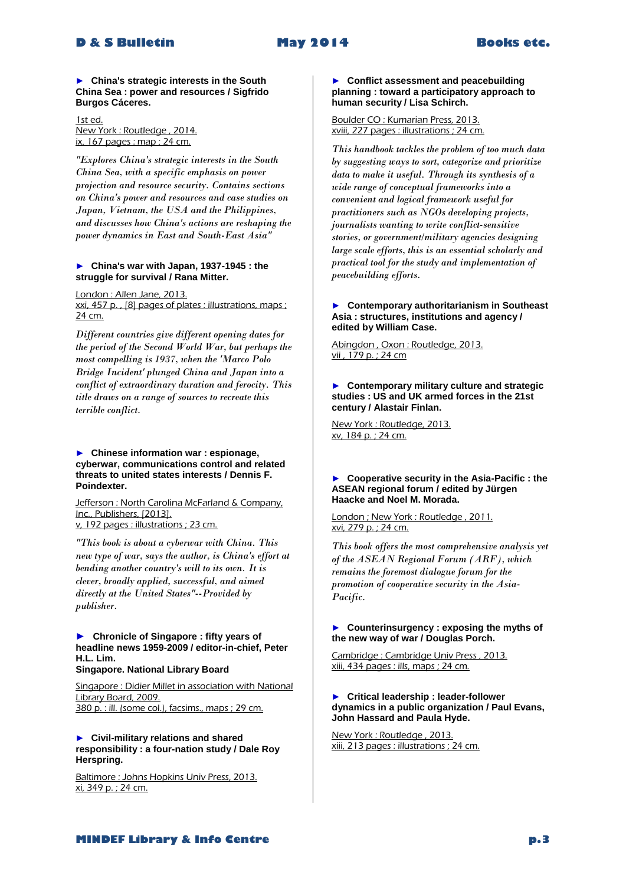► **China's strategic interests in the South China Sea : power and resources / Sigfrido Burgos Cáceres.**

1st ed. New York : Routledge , 2014. ix, 167 pages : map ; 24 cm.

*"Explores China's strategic interests in the South China Sea, with a specific emphasis on power projection and resource security. Contains sections on China's power and resources and case studies on Japan, Vietnam, the USA and the Philippines, and discusses how China's actions are reshaping the power dynamics in East and South-East Asia"* 

#### ► **China's war with Japan, 1937-1945 : the struggle for survival / Rana Mitter.**

London : Allen Jane, 2013.

xxi, 457 p. , [8] pages of plates : illustrations, maps ; 24 cm.

*Different countries give different opening dates for the period of the Second World War, but perhaps the most compelling is 1937, when the 'Marco Polo Bridge Incident' plunged China and Japan into a conflict of extraordinary duration and ferocity. This title draws on a range of sources to recreate this terrible conflict.* 

#### ► **Chinese information war : espionage, cyberwar, communications control and related threats to united states interests / Dennis F. Poindexter.**

Jefferson : North Carolina McFarland & Company, Inc., Publishers, [2013]. v, 192 pages : illustrations ; 23 cm.

*"This book is about a cyberwar with China. This new type of war, says the author, is China's effort at bending another country's will to its own. It is clever, broadly applied, successful, and aimed directly at the United States"--Provided by publisher.* 

#### **► Chronicle of Singapore : fifty years of headline news 1959-2009 / editor-in-chief, Peter H.L. Lim. Singapore. National Library Board**

Singapore : Didier Millet in association with National Library Board, 2009. 380 p. : ill. (some col.), facsims., maps ; 29 cm.

#### ► **Civil-military relations and shared responsibility : a four-nation study / Dale Roy Herspring.**

Baltimore : Johns Hopkins Univ Press, 2013. xi, 349 p. ; 24 cm.

#### ► **Conflict assessment and peacebuilding planning : toward a participatory approach to human security / Lisa Schirch.**

#### Boulder CO : Kumarian Press, 2013. xviii, 227 pages : illustrations ; 24 cm.

*This handbook tackles the problem of too much data by suggesting ways to sort, categorize and prioritize data to make it useful. Through its synthesis of a wide range of conceptual frameworks into a convenient and logical framework useful for practitioners such as NGOs developing projects, journalists wanting to write conflict-sensitive stories, or government/military agencies designing large scale efforts, this is an essential scholarly and practical tool for the study and implementation of peacebuilding efforts.* 

#### ► **Contemporary authoritarianism in Southeast Asia : structures, institutions and agency / edited by William Case.**

Abingdon , Oxon : Routledge, 2013.  $\overline{vii}$ , 179 p.; 24 cm

#### ► **Contemporary military culture and strategic studies : US and UK armed forces in the 21st century / Alastair Finlan.**

New York : Routledge, 2013. xv, 184 p. ; 24 cm.

#### ► **Cooperative security in the Asia-Pacific : the ASEAN regional forum / edited by Jürgen Haacke and Noel M. Morada.**

London ; New York : Routledge , 2011. xvi, 279 p. ; 24 cm.

*This book offers the most comprehensive analysis yet of the ASEAN Regional Forum (ARF), which remains the foremost dialogue forum for the promotion of cooperative security in the Asia-Pacific.* 

#### ► **Counterinsurgency : exposing the myths of the new way of war / Douglas Porch.**

Cambridge : Cambridge Univ Press , 2013. xiii, 434 pages : ills, maps ; 24 cm.

#### ► **Critical leadership : leader-follower dynamics in a public organization / Paul Evans, John Hassard and Paula Hyde.**

New York : Routledge , 2013. xiii, 213 pages : illustrations ; 24 cm.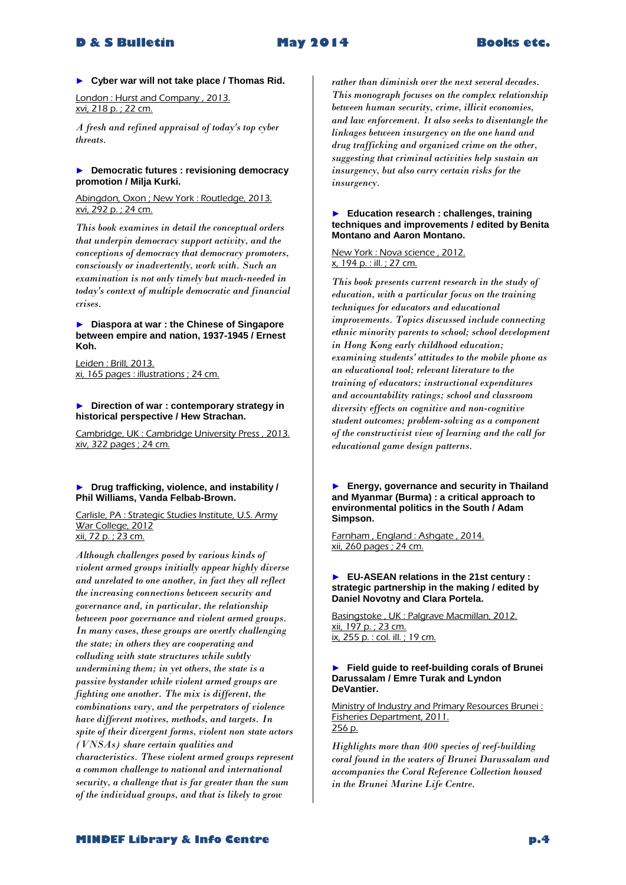► **Cyber war will not take place / Thomas Rid.**

London : Hurst and Company , 2013. xvi, 218 p. ; 22 cm.

*A fresh and refined appraisal of today's top cyber threats.* 

#### ► **Democratic futures : revisioning democracy promotion / Milja Kurki.**

Abingdon, Oxon ; New York : Routledge, 2013. xvi, 292 p. ; 24 cm.

*This book examines in detail the conceptual orders that underpin democracy support activity, and the conceptions of democracy that democracy promoters, consciously or inadvertently, work with. Such an examination is not only timely but much-needed in today's context of multiple democratic and financial crises.* 

#### ► **Diaspora at war : the Chinese of Singapore between empire and nation, 1937-1945 / Ernest Koh.**

Leiden : Brill, 2013. xi, 165 pages : illustrations ; 24 cm.

#### ► **Direction of war : contemporary strategy in historical perspective / Hew Strachan.**

Cambridge, UK : Cambridge University Press , 2013. xiv, 322 pages ; 24 cm.

#### ► **Drug trafficking, violence, and instability / Phil Williams, Vanda Felbab-Brown.**

Carlisle, PA : Strategic Studies Institute, U.S. Army War College, 2012 xii, 72 p. ; 23 cm.

*Although challenges posed by various kinds of violent armed groups initially appear highly diverse and unrelated to one another, in fact they all reflect the increasing connections between security and governance and, in particular, the relationship between poor governance and violent armed groups. In many cases, these groups are overtly challenging the state; in others they are cooperating and colluding with state structures while subtly undermining them; in yet others, the state is a passive bystander while violent armed groups are fighting one another. The mix is different, the combinations vary, and the perpetrators of violence have different motives, methods, and targets. In spite of their divergent forms, violent non state actors (VNSAs) share certain qualities and characteristics. These violent armed groups represent a common challenge to national and international security, a challenge that is far greater than the sum of the individual groups, and that is likely to grow* 

*rather than diminish over the next several decades. This monograph focuses on the complex relationship between human security, crime, illicit economies, and law enforcement. It also seeks to disentangle the linkages between insurgency on the one hand and drug trafficking and organized crime on the other, suggesting that criminal activities help sustain an insurgency, but also carry certain risks for the insurgency.* 

#### ► **Education research : challenges, training techniques and improvements / edited by Benita Montano and Aaron Montano.**

#### New York : Nova science , 2012. x, 194 p. : ill. ; 27 cm.

*This book presents current research in the study of education, with a particular focus on the training techniques for educators and educational improvements. Topics discussed include connecting ethnic minority parents to school; school development in Hong Kong early childhood education; examining students' attitudes to the mobile phone as an educational tool; relevant literature to the training of educators; instructional expenditures and accountability ratings; school and classroom diversity effects on cognitive and non-cognitive student outcomes; problem-solving as a component of the constructivist view of learning and the call for educational game design patterns.* 

► **Energy, governance and security in Thailand and Myanmar (Burma) : a critical approach to environmental politics in the South / Adam Simpson.**

Farnham , England : Ashgate , 2014. xii, 260 pages ; 24 cm.

#### ► **EU-ASEAN relations in the 21st century : strategic partnership in the making / edited by Daniel Novotny and Clara Portela.**

Basingstoke , UK : Palgrave Macmillan, 2012. xii, 197 p. ; 23 cm. ix, 255 p. : col. ill. ; 19 cm.

#### ► **Field guide to reef-building corals of Brunei Darussalam / Emre Turak and Lyndon DeVantier.**

Ministry of Industry and Primary Resources Brunei : Fisheries Department, 2011. 256 p.

*Highlights more than 400 species of reef-building coral found in the waters of Brunei Darussalam and accompanies the Coral Reference Collection housed in the Brunei Marine Life Centre.*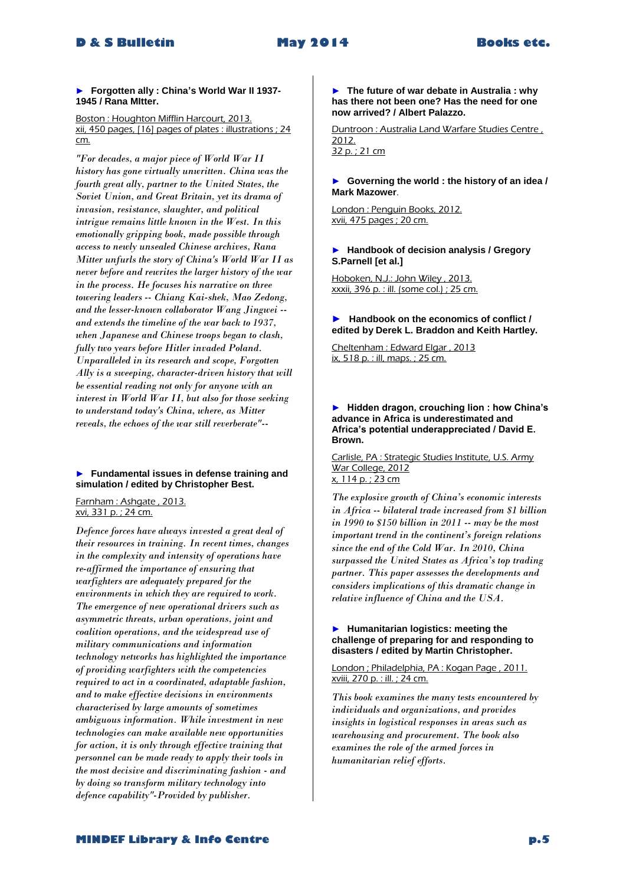► **Forgotten ally : China's World War II 1937- 1945 / Rana MItter.**

Boston : Houghton Mifflin Harcourt, 2013. xii, 450 pages, [16] pages of plates : illustrations ; 24 cm.

*"For decades, a major piece of World War II history has gone virtually unwritten. China was the fourth great ally, partner to the United States, the Soviet Union, and Great Britain, yet its drama of invasion, resistance, slaughter, and political intrigue remains little known in the West. In this emotionally gripping book, made possible through access to newly unsealed Chinese archives, Rana Mitter unfurls the story of China's World War II as never before and rewrites the larger history of the war in the process. He focuses his narrative on three towering leaders -- Chiang Kai-shek, Mao Zedong, and the lesser-known collaborator Wang Jingwei - and extends the timeline of the war back to 1937, when Japanese and Chinese troops began to clash, fully two years before Hitler invaded Poland. Unparalleled in its research and scope, Forgotten Ally is a sweeping, character-driven history that will be essential reading not only for anyone with an interest in World War II, but also for those seeking to understand today's China, where, as Mitter reveals, the echoes of the war still reverberate"--*

#### ► **Fundamental issues in defense training and simulation / edited by Christopher Best.**

Farnham : Ashgate , 2013. xvi, 331 p. ; 24 cm.

*Defence forces have always invested a great deal of their resources in training. In recent times, changes in the complexity and intensity of operations have re-affirmed the importance of ensuring that warfighters are adequately prepared for the environments in which they are required to work. The emergence of new operational drivers such as asymmetric threats, urban operations, joint and coalition operations, and the widespread use of military communications and information technology networks has highlighted the importance of providing warfighters with the competencies required to act in a coordinated, adaptable fashion, and to make effective decisions in environments characterised by large amounts of sometimes ambiguous information. While investment in new technologies can make available new opportunities for action, it is only through effective training that personnel can be made ready to apply their tools in the most decisive and discriminating fashion - and by doing so transform military technology into defence capability"-Provided by publisher.* 

#### ► **The future of war debate in Australia : why has there not been one? Has the need for one now arrived? / Albert Palazzo.**

Duntroon : Australia Land Warfare Studies Centre , 2012. 32 p. ; 21 cm

#### ► **Governing the world : the history of an idea / Mark Mazower**.

London : Penguin Books, 2012. xvii, 475 pages ; 20 cm.

#### ► **Handbook of decision analysis / Gregory S.Parnell [et al.]**

Hoboken, N.J.: John Wiley, 2013. xxxii, 396 p. : ill. (some col.) ; 25 cm.

#### **► Handbook on the economics of conflict / edited by Derek L. Braddon and Keith Hartley.**

Cheltenham : Edward Elgar , 2013 ix, 518 p. : ill, maps. ; 25 cm.

#### ► **Hidden dragon, crouching lion : how China's advance in Africa is underestimated and Africa's potential underappreciated / David E. Brown.**

Carlisle, PA : Strategic Studies Institute, U.S. Army War College, 2012 x, 114 p. ; 23 cm

*The explosive growth of China's economic interests in Africa -- bilateral trade increased from \$1 billion in 1990 to \$150 billion in 2011 -- may be the most important trend in the continent's foreign relations since the end of the Cold War. In 2010, China surpassed the United States as Africa's top trading partner. This paper assesses the developments and considers implications of this dramatic change in relative influence of China and the USA.* 

#### ► **Humanitarian logistics: meeting the challenge of preparing for and responding to disasters / edited by Martin Christopher.**

London ; Philadelphia, PA : Kogan Page , 2011. xviii, 270 p. : ill. ; 24 cm.

*This book examines the many tests encountered by individuals and organizations, and provides insights in logistical responses in areas such as warehousing and procurement. The book also examines the role of the armed forces in humanitarian relief efforts.* 

# **MINDEF Library & Info Centre p.5**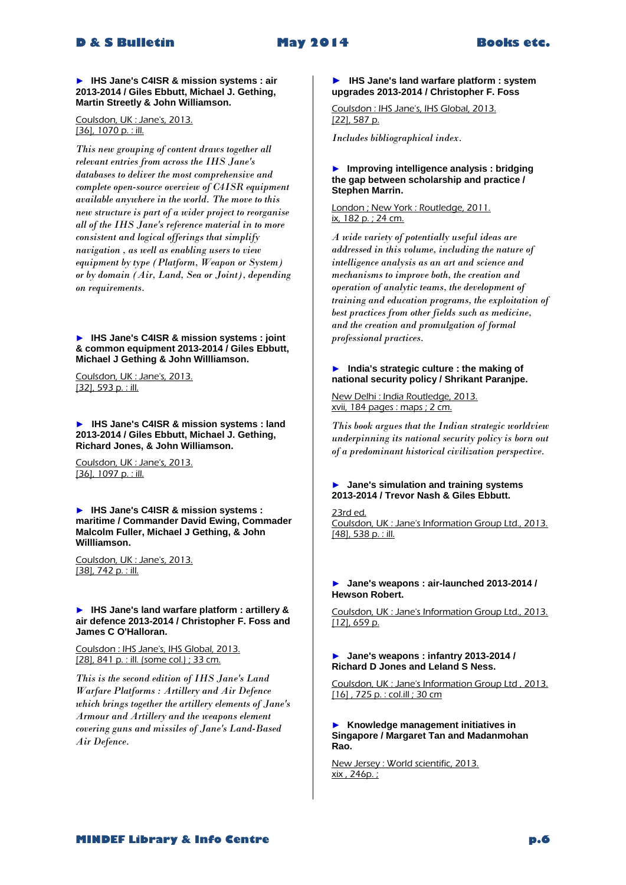► **IHS Jane's C4ISR & mission systems : air 2013-2014 / Giles Ebbutt, Michael J. Gething, Martin Streetly & John Williamson.**

Coulsdon, UK : Jane's, 2013. [36], 1070 p. : ill.

*This new grouping of content draws together all relevant entries from across the IHS Jane's databases to deliver the most comprehensive and complete open-source overview of C4ISR equipment available anywhere in the world. The move to this new structure is part of a wider project to reorganise all of the IHS Jane's reference material in to more consistent and logical offerings that simplify navigation , as well as enabling users to view equipment by type (Platform, Weapon or System) or by domain (Air, Land, Sea or Joint), depending on requirements.* 

► **IHS Jane's C4ISR & mission systems : joint & common equipment 2013-2014 / Giles Ebbutt, Michael J Gething & John Willliamson.**

Coulsdon, UK : Jane's, 2013. [32], 593 p. : ill.

► **IHS Jane's C4ISR & mission systems : land 2013-2014 / Giles Ebbutt, Michael J. Gething, Richard Jones, & John Williamson.**

Coulsdon, UK : Jane's, 2013. [36], 1097 p. : ill.

► **IHS Jane's C4ISR & mission systems : maritime / Commander David Ewing, Commader Malcolm Fuller, Michael J Gething, & John Willliamson.**

Coulsdon, UK : Jane's, 2013. [38], 742 p. : ill.

► **IHS Jane's land warfare platform : artillery & air defence 2013-2014 / Christopher F. Foss and James C O'Halloran.** 

Coulsdon : IHS Jane's, IHS Global, 2013. [28], 841 p. : ill. (some col.) ; 33 cm.

*This is the second edition of IHS Jane's Land Warfare Platforms : Artillery and Air Defence which brings together the artillery elements of Jane's Armour and Artillery and the weapons element covering guns and missiles of Jane's Land-Based Air Defence.* 

#### **► IHS Jane's land warfare platform : system upgrades 2013-2014 / Christopher F. Foss**

Coulsdon : IHS Jane's, IHS Global, 2013. [22], 587 p.

*Includes bibliographical index.* 

#### ► **Improving intelligence analysis : bridging the gap between scholarship and practice / Stephen Marrin.**

London ; New York : Routledge, 2011. ix, 182 p. ; 24 cm.

*A wide variety of potentially useful ideas are addressed in this volume, including the nature of intelligence analysis as an art and science and mechanisms to improve both, the creation and operation of analytic teams, the development of training and education programs, the exploitation of best practices from other fields such as medicine, and the creation and promulgation of formal professional practices.* 

#### ► **India's strategic culture : the making of national security policy / Shrikant Paranjpe.**

New Delhi : India Routledge, 2013. xvii, 184 pages : maps ; 2 cm.

*This book argues that the Indian strategic worldview underpinning its national security policy is born out of a predominant historical civilization perspective.* 

#### ► **Jane's simulation and training systems 2013-2014 / Trevor Nash & Giles Ebbutt.**

23rd ed. Coulsdon, UK : Jane's Information Group Ltd., 2013. [48], 538 p. : ill.

#### ► **Jane's weapons : air-launched 2013-2014 / Hewson Robert.**

Coulsdon, UK : Jane's Information Group Ltd., 2013. [12], 659 p.

#### ► **Jane's weapons : infantry 2013-2014 / Richard D Jones and Leland S Ness.**

Coulsdon, UK : Jane's Information Group Ltd , 2013. [16] , 725 p. : col.ill ; 30 cm

► **Knowledge management initiatives in Singapore / Margaret Tan and Madanmohan Rao.**

New Jersey: World scientific, 2013. xix , 246p. ;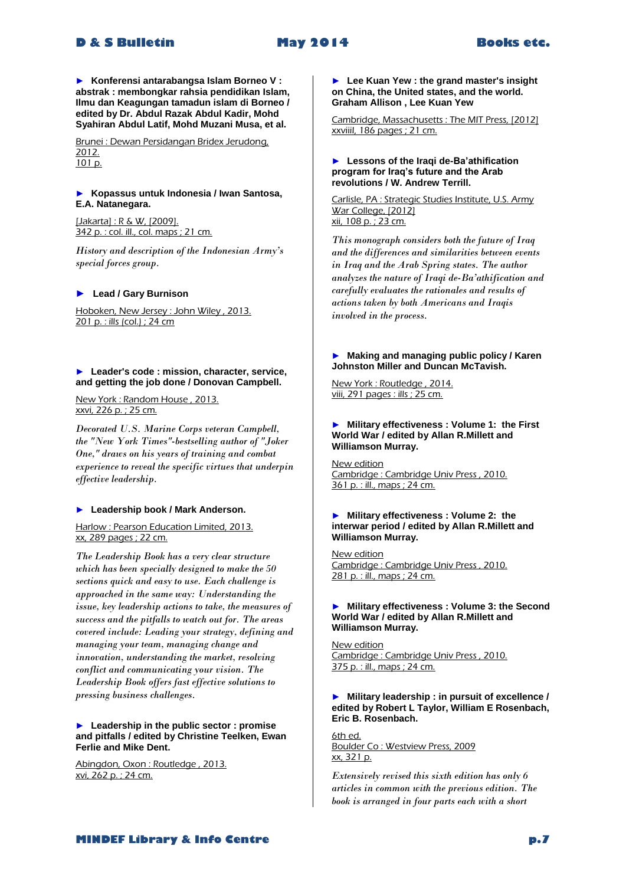► **Konferensi antarabangsa Islam Borneo V : abstrak : membongkar rahsia pendidikan Islam, Ilmu dan Keagungan tamadun islam di Borneo / edited by Dr. Abdul Razak Abdul Kadir, Mohd Syahiran Abdul Latif, Mohd Muzani Musa, et al.**

Brunei : Dewan Persidangan Bridex Jerudong, 2012. 101 p.

#### ► **Kopassus untuk Indonesia / Iwan Santosa, E.A. Natanegara.**

[Jakarta] : R & W, [2009]. 342 p. : col. ill., col. maps ; 21 cm.

*History and description of the Indonesian Army's special forces group.*

#### **► Lead / Gary Burnison**

Hoboken, New Jersey : John Wiley , 2013. 201 p. : ills (col.) ; 24 cm

#### ► **Leader's code : mission, character, service, and getting the job done / Donovan Campbell.**

New York : Random House , 2013. xxvi, 226 p. ; 25 cm.

*Decorated U.S. Marine Corps veteran Campbell, the "New York Times"-bestselling author of "Joker One," draws on his years of training and combat experience to reveal the specific virtues that underpin effective leadership.* 

#### ► **Leadership book / Mark Anderson.**

Harlow : Pearson Education Limited, 2013. xx, 289 pages ; 22 cm.

*The Leadership Book has a very clear structure which has been specially designed to make the 50 sections quick and easy to use. Each challenge is approached in the same way: Understanding the issue, key leadership actions to take, the measures of success and the pitfalls to watch out for. The areas covered include: Leading your strategy, defining and managing your team, managing change and innovation, understanding the market, resolving conflict and communicating your vision. The Leadership Book offers fast effective solutions to pressing business challenges.* 

#### ► **Leadership in the public sector : promise and pitfalls / edited by Christine Teelken, Ewan Ferlie and Mike Dent.**

Abingdon, Oxon : Routledge , 2013. xvi, 262 p. ; 24 cm.

► **Lee Kuan Yew : the grand master's insight on China, the United states, and the world. Graham Allison , Lee Kuan Yew**

Cambridge, Massachusetts : The MIT Press, [2012] xxviiiI, 186 pages ; 21 cm.

#### ► **Lessons of the Iraqi de-Ba'athification program for Iraq's future and the Arab revolutions / W. Andrew Terrill.**

Carlisle, PA : Strategic Studies Institute, U.S. Army War College, [2012] xii, 108 p. ; 23 cm.

*This monograph considers both the future of Iraq and the differences and similarities between events in Iraq and the Arab Spring states. The author analyzes the nature of Iraqi de-Ba'athification and carefully evaluates the rationales and results of actions taken by both Americans and Iraqis involved in the process.* 

#### ► **Making and managing public policy / Karen Johnston Miller and Duncan McTavish.**

New York : Routledge , 2014. viii, 291 pages : ills ; 25 cm.

#### ► **Military effectiveness : Volume 1: the First World War / edited by Allan R.Millett and Williamson Murray.**

New edition Cambridge : Cambridge Univ Press , 2010. 361 p. : ill., maps ; 24 cm.

#### ► **Military effectiveness : Volume 2: the interwar period / edited by Allan R.Millett and Williamson Murray.**

New edition Cambridge : Cambridge Univ Press , 2010. 281 p. : ill., maps ; 24 cm.

#### ► **Military effectiveness : Volume 3: the Second World War / edited by Allan R.Millett and Williamson Murray.**

New edition Cambridge : Cambridge Univ Press , 2010. 375 p. : ill., maps ; 24 cm.

#### ► **Military leadership : in pursuit of excellence / edited by Robert L Taylor, William E Rosenbach, Eric B. Rosenbach.**

6th ed. Boulder Co : Westview Press, 2009 xx, 321 p.

*Extensively revised this sixth edition has only 6 articles in common with the previous edition. The book is arranged in four parts each with a short*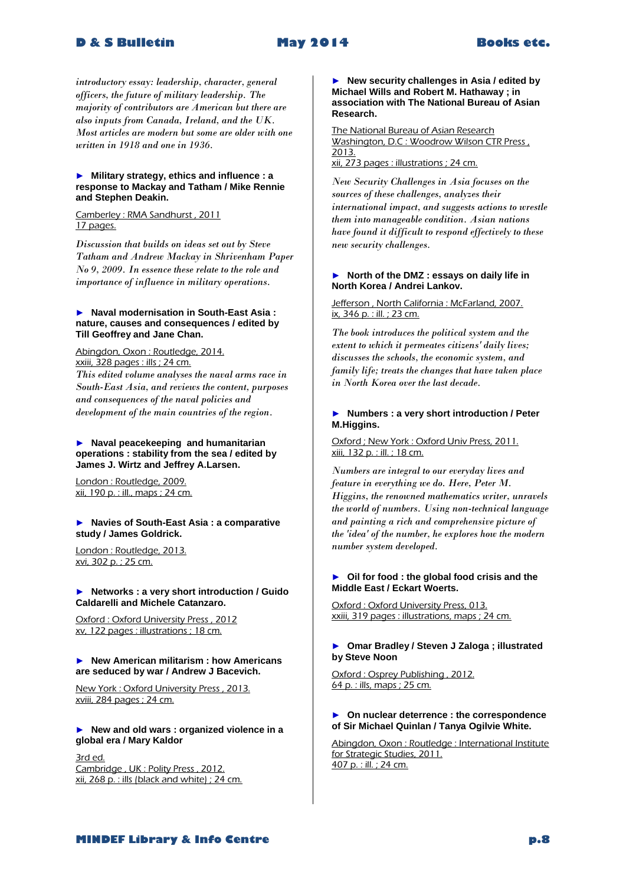*introductory essay: leadership, character, general officers, the future of military leadership. The majority of contributors are American but there are also inputs from Canada, Ireland, and the UK. Most articles are modern but some are older with one written in 1918 and one in 1936.* 

#### ► **Military strategy, ethics and influence : a response to Mackay and Tatham / Mike Rennie and Stephen Deakin.**

Camberley : RMA Sandhurst , 2011 17 pages.

*Discussion that builds on ideas set out by Steve Tatham and Andrew Mackay in Shrivenham Paper No 9, 2009. In essence these relate to the role and importance of influence in military operations.* 

#### ► **Naval modernisation in South-East Asia : nature, causes and consequences / edited by Till Geoffrey and Jane Chan.**

Abingdon, Oxon : Routledge, 2014. xxiii, 328 pages : ills ; 24 cm.

*This edited volume analyses the naval arms race in South-East Asia, and reviews the content, purposes and consequences of the naval policies and development of the main countries of the region.*

#### ► **Naval peacekeeping and humanitarian operations : stability from the sea / edited by James J. Wirtz and Jeffrey A.Larsen.**

London : Routledge, 2009. xii, 190 p. : ill., maps ; 24 cm.

► **Navies of South-East Asia : a comparative study / James Goldrick.**

London : Routledge, 2013. xvi, 302 p. ; 25 cm.

#### ► **Networks : a very short introduction / Guido Caldarelli and Michele Catanzaro.**

Oxford : Oxford University Press , 2012 xv, 122 pages : illustrations ; 18 cm.

#### ► **New American militarism : how Americans are seduced by war / Andrew J Bacevich.**

New York : Oxford University Press , 2013. xviii, 284 pages ; 24 cm.

► **New and old wars : organized violence in a global era / Mary Kaldor**

3rd ed. Cambridge , UK : Polity Press , 2012. xii, 268 p. : ills (black and white) ; 24 cm.

► **New security challenges in Asia / edited by Michael Wills and Robert M. Hathaway ; in association with The National Bureau of Asian Research.**

The National Bureau of Asian Research Washington, D.C : Woodrow Wilson CTR Press , 2013. xii, 273 pages : illustrations ; 24 cm.

*New Security Challenges in Asia focuses on the sources of these challenges, analyzes their international impact, and suggests actions to wrestle them into manageable condition. Asian nations have found it difficult to respond effectively to these new security challenges.* 

#### ► **North of the DMZ : essays on daily life in North Korea / Andrei Lankov.**

#### Jefferson, North California: McFarland, 2007. ix, 346 p. : ill. ; 23 cm.

*The book introduces the political system and the extent to which it permeates citizens' daily lives; discusses the schools, the economic system, and family life; treats the changes that have taken place in North Korea over the last decade.* 

#### ► **Numbers : a very short introduction / Peter M.Higgins.**

#### Oxford ; New York : Oxford Univ Press, 2011. xiii, 132 p. : ill. ; 18 cm.

*Numbers are integral to our everyday lives and feature in everything we do. Here, Peter M. Higgins, the renowned mathematics writer, unravels the world of numbers. Using non-technical language and painting a rich and comprehensive picture of the 'idea' of the number, he explores how the modern number system developed.* 

#### ► **Oil for food : the global food crisis and the Middle East / Eckart Woerts.**

Oxford : Oxford University Press, 013. xxiii, 319 pages : illustrations, maps ; 24 cm.

#### ► **Omar Bradley / Steven J Zaloga ; illustrated by Steve Noon**

Oxford : Osprey Publishing, 2012. 64 p. : ills, maps ; 25 cm.

#### ► **On nuclear deterrence : the correspondence of Sir Michael Quinlan / Tanya Ogilvie White.**

Abingdon, Oxon : Routledge : International Institute for Strategic Studies, 2011. 407 p. : ill. ; 24 cm.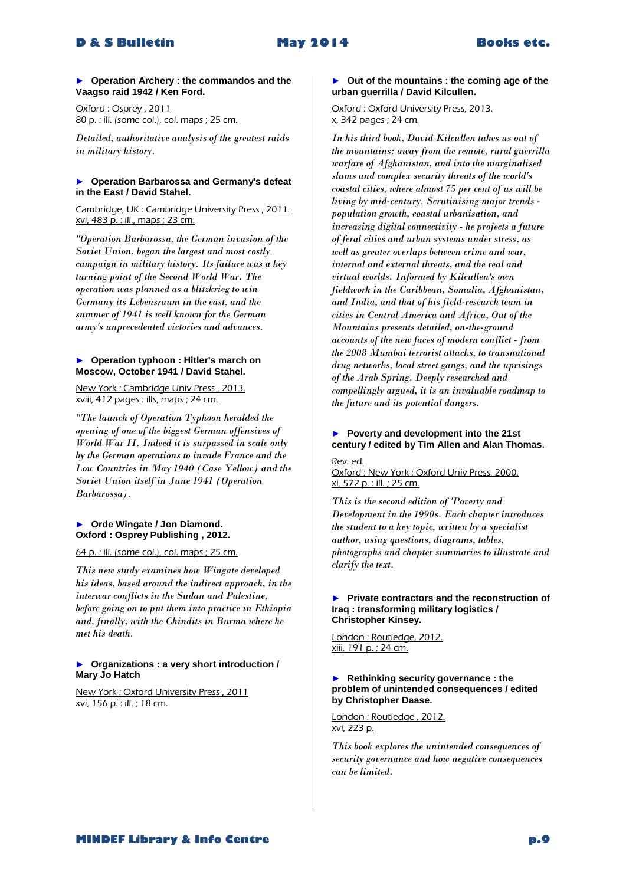► **Operation Archery : the commandos and the Vaagso raid 1942 / Ken Ford.**

Oxford : Osprey , 2011 80 p. : ill. (some col.), col. maps ; 25 cm.

*Detailed, authoritative analysis of the greatest raids in military history.* 

#### ► **Operation Barbarossa and Germany's defeat in the East / David Stahel.**

Cambridge, UK : Cambridge University Press , 2011. xvi, 483 p. : ill., maps ; 23 cm.

*"Operation Barbarossa, the German invasion of the Soviet Union, began the largest and most costly campaign in military history. Its failure was a key turning point of the Second World War. The operation was planned as a blitzkrieg to win Germany its Lebensraum in the east, and the summer of 1941 is well known for the German army's unprecedented victories and advances.* 

#### ► **Operation typhoon : Hitler's march on Moscow, October 1941 / David Stahel.**

New York : Cambridge Univ Press , 2013. xviii, 412 pages : ills, maps ; 24 cm.

*"The launch of Operation Typhoon heralded the opening of one of the biggest German offensives of World War II. Indeed it is surpassed in scale only by the German operations to invade France and the Low Countries in May 1940 (Case Yellow) and the Soviet Union itself in June 1941 (Operation Barbarossa).* 

# ► **Orde Wingate / Jon Diamond. Oxford : Osprey Publishing , 2012.**

64 p. : ill. (some col.), col. maps ; 25 cm.

*This new study examines how Wingate developed his ideas, based around the indirect approach, in the interwar conflicts in the Sudan and Palestine, before going on to put them into practice in Ethiopia and, finally, with the Chindits in Burma where he met his death.* 

#### ► **Organizations : a very short introduction / Mary Jo Hatch**

New York : Oxford University Press , 2011 xvi, 156 p. : ill. ; 18 cm.

#### ► **Out of the mountains : the coming age of the urban guerrilla / David Kilcullen.**

#### Oxford : Oxford University Press, 2013. x, 342 pages ; 24 cm.

*In his third book, David Kilcullen takes us out of the mountains: away from the remote, rural guerrilla warfare of Afghanistan, and into the marginalised slums and complex security threats of the world's coastal cities, where almost 75 per cent of us will be living by mid-century. Scrutinising major trends population growth, coastal urbanisation, and increasing digital connectivity - he projects a future of feral cities and urban systems under stress, as well as greater overlaps between crime and war, internal and external threats, and the real and virtual worlds. Informed by Kilcullen's own fieldwork in the Caribbean, Somalia, Afghanistan, and India, and that of his field-research team in cities in Central America and Africa, Out of the Mountains presents detailed, on-the-ground accounts of the new faces of modern conflict - from the 2008 Mumbai terrorist attacks, to transnational drug networks, local street gangs, and the uprisings of the Arab Spring. Deeply researched and compellingly argued, it is an invaluable roadmap to the future and its potential dangers.* 

# ► **Poverty and development into the 21st century / edited by Tim Allen and Alan Thomas.**

#### Rev. ed.

Oxford ; New York : Oxford Univ Press, 2000. xi, 572 p. : ill. ; 25 cm.

*This is the second edition of 'Poverty and Development in the 1990s. Each chapter introduces the student to a key topic, written by a specialist author, using questions, diagrams, tables, photographs and chapter summaries to illustrate and clarify the text.* 

#### ► **Private contractors and the reconstruction of Iraq : transforming military logistics / Christopher Kinsey.**

London : Routledge, 2012. xiii, 191 p. ; 24 cm.

#### ► **Rethinking security governance : the problem of unintended consequences / edited by Christopher Daase.**

London : Routledge , 2012. xvi, 223 p.

*This book explores the unintended consequences of security governance and how negative consequences can be limited.*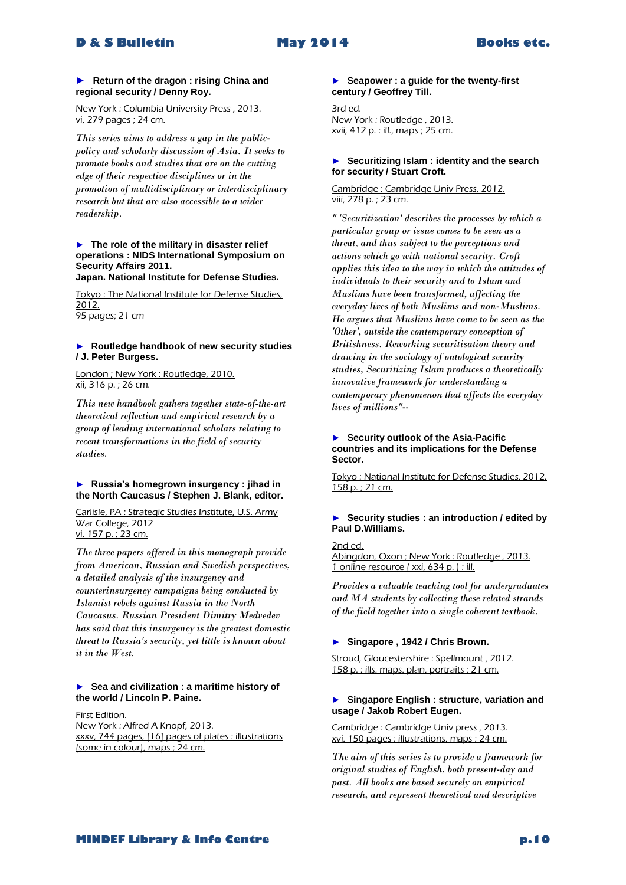#### **► Return of the dragon : rising China and regional security / Denny Roy.**

New York : Columbia University Press , 2013. vi, 279 pages ; 24 cm.

*This series aims to address a gap in the publicpolicy and scholarly discussion of Asia. It seeks to promote books and studies that are on the cutting edge of their respective disciplines or in the promotion of multidisciplinary or interdisciplinary research but that are also accessible to a wider readership.* 

# ► **The role of the military in disaster relief operations : NIDS International Symposium on Security Affairs 2011.**

**Japan. National Institute for Defense Studies.**

Tokyo : The National Institute for Defense Studies, 2012. 95 pages; 21 cm

#### ► **Routledge handbook of new security studies / J. Peter Burgess.**

London ; New York : Routledge, 2010. xii, 316 p. ; 26 cm.

*This new handbook gathers together state-of-the-art theoretical reflection and empirical research by a group of leading international scholars relating to recent transformations in the field of security studies*.

#### ► **Russia's homegrown insurgency : jihad in the North Caucasus / Stephen J. Blank, editor.**

Carlisle, PA : Strategic Studies Institute, U.S. Army War College, 2012 vi, 157 p. ; 23 cm.

*The three papers offered in this monograph provide from American, Russian and Swedish perspectives, a detailed analysis of the insurgency and counterinsurgency campaigns being conducted by Islamist rebels against Russia in the North Caucasus. Russian President Dimitry Medvedev has said that this insurgency is the greatest domestic threat to Russia's security, yet little is known about it in the West.* 

#### ► **Sea and civilization : a maritime history of the world / Lincoln P. Paine.**

First Edition. New York : Alfred A Knopf, 2013. xxxv, 744 pages, [16] pages of plates : illustrations (some in colour), maps ; 24 cm.

► **Seapower : a guide for the twenty-first century / Geoffrey Till.**

3rd ed. New York : Routledge , 2013. xvii, 412 p. : ill., maps ; 25 cm.

#### ► **Securitizing Islam : identity and the search for security / Stuart Croft.**

Cambridge : Cambridge Univ Press, 2012. viii, 278 p. ; 23 cm.

*" 'Securitization' describes the processes by which a particular group or issue comes to be seen as a threat, and thus subject to the perceptions and actions which go with national security. Croft applies this idea to the way in which the attitudes of individuals to their security and to Islam and Muslims have been transformed, affecting the everyday lives of both Muslims and non-Muslims. He argues that Muslims have come to be seen as the 'Other', outside the contemporary conception of Britishness. Reworking securitisation theory and drawing in the sociology of ontological security studies, Securitizing Islam produces a theoretically innovative framework for understanding a contemporary phenomenon that affects the everyday lives of millions"--*

#### ► **Security outlook of the Asia-Pacific countries and its implications for the Defense Sector.**

Tokyo : National Institute for Defense Studies, 2012. 158 p. ; 21 cm.

#### ► **Security studies : an introduction / edited by Paul D.Williams.**

2nd ed. Abingdon, Oxon ; New York : Routledge , 2013. 1 online resource ( xxi, 634 p. ) : ill.

*Provides a valuable teaching tool for undergraduates and MA students by collecting these related strands of the field together into a single coherent textbook.* 

# ► **Singapore , 1942 / Chris Brown.**

Stroud, Gloucestershire : Spellmount , 2012. 158 p. : ills, maps, plan, portraits ; 21 cm.

#### ► **Singapore English : structure, variation and usage / Jakob Robert Eugen.**

Cambridge : Cambridge Univ press , 2013. xvi, 150 pages : illustrations, maps ; 24 cm.

*The aim of this series is to provide a framework for original studies of English, both present-day and past. All books are based securely on empirical research, and represent theoretical and descriptive*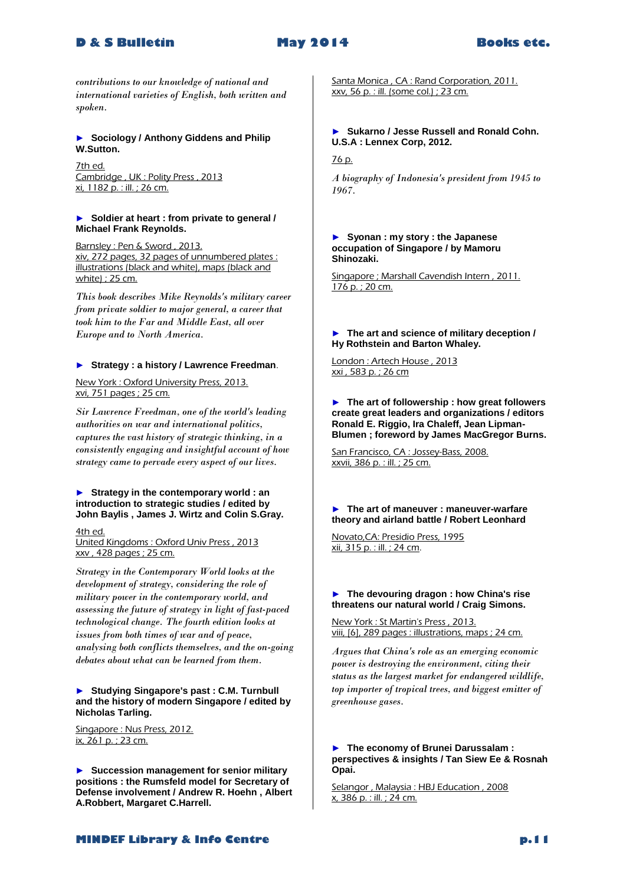

*contributions to our knowledge of national and international varieties of English, both written and spoken.* 

#### ► **Sociology / Anthony Giddens and Philip W.Sutton.**

7th ed. Cambridge , UK : Polity Press , 2013 xi, 1182 p. : ill. ; 26 cm.

#### ► **Soldier at heart : from private to general / Michael Frank Reynolds.**

Barnsley : Pen & Sword, 2013. xiv, 272 pages, 32 pages of unnumbered plates : illustrations (black and white), maps (black and white) ; 25 cm.

*This book describes Mike Reynolds's military career from private soldier to major general, a career that took him to the Far and Middle East, all over Europe and to North America.* 

#### ► **Strategy : a history / Lawrence Freedman**.

New York : Oxford University Press, 2013. xvi, 751 pages ; 25 cm.

*Sir Lawrence Freedman, one of the world's leading authorities on war and international politics, captures the vast history of strategic thinking, in a consistently engaging and insightful account of how strategy came to pervade every aspect of our lives.* 

#### ► **Strategy in the contemporary world : an introduction to strategic studies / edited by John Baylis , James J. Wirtz and Colin S.Gray.**

4th ed.

United Kingdoms : Oxford Univ Press , 2013 xxv , 428 pages ; 25 cm.

*Strategy in the Contemporary World looks at the development of strategy, considering the role of military power in the contemporary world, and assessing the future of strategy in light of fast-paced technological change. The fourth edition looks at issues from both times of war and of peace, analysing both conflicts themselves, and the on-going debates about what can be learned from them.* 

#### ► **Studying Singapore's past : C.M. Turnbull and the history of modern Singapore / edited by Nicholas Tarling.**

Singapore : Nus Press, 2012.  $ix, 261$  p. ; 23 cm.

► **Succession management for senior military positions : the Rumsfeld model for Secretary of Defense involvement / Andrew R. Hoehn , Albert A.Robbert, Margaret C.Harrell.**

Santa Monica, CA: Rand Corporation, 2011. xxv, 56 p. : ill. (some col.) ; 23 cm.

#### ► **Sukarno / Jesse Russell and Ronald Cohn. U.S.A : Lennex Corp, 2012.**

76 p.

*A biography of Indonesia's president from 1945 to 1967.* 

► **Syonan : my story : the Japanese occupation of Singapore / by Mamoru Shinozaki.**

Singapore ; Marshall Cavendish Intern , 2011. 176 p. ; 20 cm.

► **The art and science of military deception / Hy Rothstein and Barton Whaley.**

London : Artech House , 2013 xxi , 583 p. ; 26 cm

► **The art of followership : how great followers create great leaders and organizations / editors Ronald E. Riggio, Ira Chaleff, Jean Lipman-Blumen ; foreword by James MacGregor Burns.** 

San Francisco, CA : Jossey-Bass, 2008. xxvii, 386 p. : ill. ; 25 cm.

► **The art of maneuver : maneuver-warfare theory and airland battle / Robert Leonhard**

Novato,CA: Presidio Press, 1995 xii, 315 p. : ill. ; 24 cm.

#### ► **The devouring dragon : how China's rise threatens our natural world / Craig Simons.**

New York : St Martin's Press , 2013. viii, [6], 289 pages : illustrations, maps ; 24 cm.

*Argues that China's role as an emerging economic power is destroying the environment, citing their status as the largest market for endangered wildlife, top importer of tropical trees, and biggest emitter of greenhouse gases.* 

#### ► **The economy of Brunei Darussalam : perspectives & insights / Tan Siew Ee & Rosnah Opai.**

Selangor, Malaysia: HBJ Education, 2008 x, 386 p. : ill. ; 24 cm.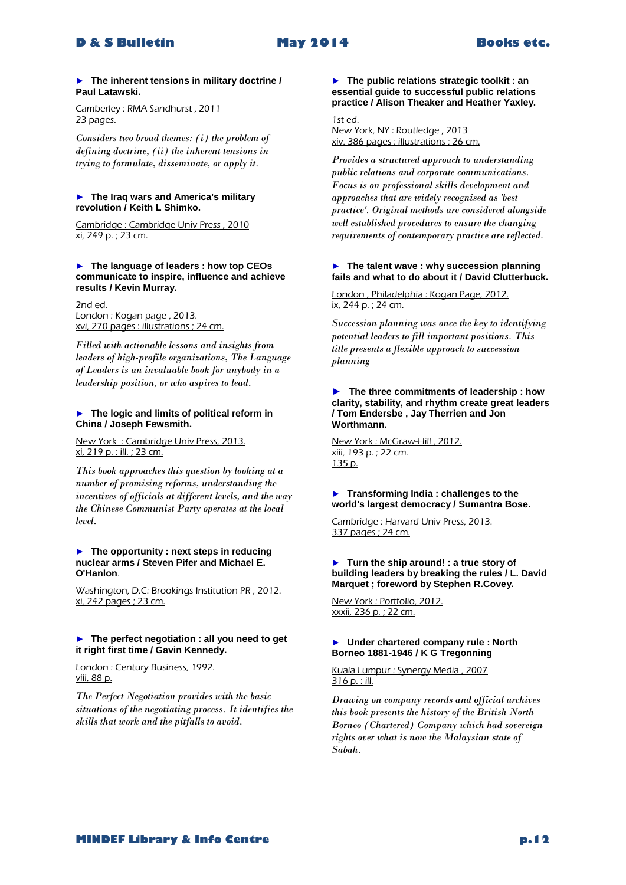#### ► **The inherent tensions in military doctrine / Paul Latawski.**

Camberley : RMA Sandhurst , 2011 23 pages.

*Considers two broad themes: (i) the problem of defining doctrine, (ii) the inherent tensions in trying to formulate, disseminate, or apply it.* 

#### ► **The Iraq wars and America's military revolution / Keith L Shimko.**

Cambridge : Cambridge Univ Press , 2010 xi, 249 p. ; 23 cm.

#### ► **The language of leaders : how top CEOs communicate to inspire, influence and achieve results / Kevin Murray.**

2nd ed. London : Kogan page , 2013. xvi, 270 pages : illustrations ; 24 cm.

*Filled with actionable lessons and insights from leaders of high-profile organizations, The Language of Leaders is an invaluable book for anybody in a leadership position, or who aspires to lead.* 

#### ► **The logic and limits of political reform in China / Joseph Fewsmith.**

New York : Cambridge Univ Press, 2013. xi, 219 p. : ill. ; 23 cm.

*This book approaches this question by looking at a number of promising reforms, understanding the incentives of officials at different levels, and the way the Chinese Communist Party operates at the local level.* 

#### ► **The opportunity : next steps in reducing nuclear arms / Steven Pifer and Michael E. O'Hanlon**.

Washington, D.C: Brookings Institution PR , 2012. xi, 242 pages ; 23 cm.

#### ► **The perfect negotiation : all you need to get it right first time / Gavin Kennedy.**

London : Century Business, 1992. viii, 88 p.

*The Perfect Negotiation provides with the basic situations of the negotiating process. It identifies the skills that work and the pitfalls to avoid.* 

#### ► **The public relations strategic toolkit : an essential guide to successful public relations practice / Alison Theaker and Heather Yaxley.**

1st ed. New York, NY : Routledge , 2013 xiv, 386 pages : illustrations ; 26 cm.

*Provides a structured approach to understanding public relations and corporate communications. Focus is on professional skills development and approaches that are widely recognised as 'best practice'. Original methods are considered alongside well established procedures to ensure the changing requirements of contemporary practice are reflected.* 

#### ► **The talent wave : why succession planning fails and what to do about it / David Clutterbuck.**

London , Philadelphia : Kogan Page, 2012. ix, 244 p. ; 24 cm.

*Succession planning was once the key to identifying potential leaders to fill important positions. This title presents a flexible approach to succession planning* 

#### **► The three commitments of leadership : how clarity, stability, and rhythm create great leaders / Tom Endersbe , Jay Therrien and Jon Worthmann.**

New York : McGraw-Hill , 2012. xiii, 193 p. ; 22 cm. 135 p.

► **Transforming India : challenges to the world's largest democracy / Sumantra Bose.**

Cambridge : Harvard Univ Press, 2013. 337 pages ; 24 cm.

#### ► **Turn the ship around! : a true story of building leaders by breaking the rules / L. David Marquet ; foreword by Stephen R.Covey.**

New York : Portfolio, 2012. xxxii, 236 p. ; 22 cm.

#### ► **Under chartered company rule : North Borneo 1881-1946 / K G Tregonning**

Kuala Lumpur : Synergy Media , 2007 316 p. : ill.

*Drawing on company records and official archives this book presents the history of the British North Borneo (Chartered) Company which had sovereign rights over what is now the Malaysian state of Sabah.*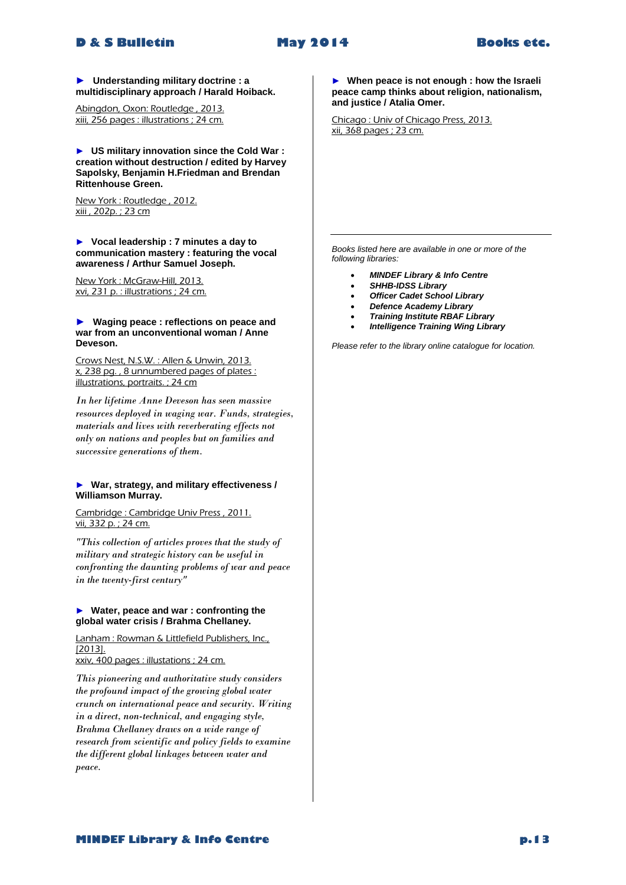**► Understanding military doctrine : a multidisciplinary approach / Harald Hoiback.**

Abingdon, Oxon: Routledge , 2013. xiii, 256 pages : illustrations ; 24 cm.

► **US military innovation since the Cold War : creation without destruction / edited by Harvey Sapolsky, Benjamin H.Friedman and Brendan Rittenhouse Green.**

New York : Routledge , 2012. xiii , 202p. ; 23 cm

► **Vocal leadership : 7 minutes a day to communication mastery : featuring the vocal awareness / Arthur Samuel Joseph.**

New York : McGraw-Hill, 2013. xvi, 231 p. : illustrations ; 24 cm.

#### **► Waging peace : reflections on peace and war from an unconventional woman / Anne Deveson.**

Crows Nest, N.S.W. : Allen & Unwin, 2013. x, 238 pg. , 8 unnumbered pages of plates : illustrations, portraits. ; 24 cm

*In her lifetime Anne Deveson has seen massive resources deployed in waging war. Funds, strategies, materials and lives with reverberating effects not only on nations and peoples but on families and successive generations of them.* 

#### ► **War, strategy, and military effectiveness / Williamson Murray.**

Cambridge : Cambridge Univ Press , 2011. vii, 332 p. ; 24 cm.

*"This collection of articles proves that the study of military and strategic history can be useful in confronting the daunting problems of war and peace in the twenty-first century"* 

#### ► **Water, peace and war : confronting the global water crisis / Brahma Chellaney.**

Lanham : Rowman & Littlefield Publishers, Inc., [2013]. xxiv, 400 pages : illustations ; 24 cm.

*This pioneering and authoritative study considers the profound impact of the growing global water crunch on international peace and security. Writing in a direct, non-technical, and engaging style, Brahma Chellaney draws on a wide range of research from scientific and policy fields to examine the different global linkages between water and peace.* 

► **When peace is not enough : how the Israeli peace camp thinks about religion, nationalism, and justice / Atalia Omer.**

Chicago : Univ of Chicago Press, 2013. xii, 368 pages ; 23 cm.

*Books listed here are available in one or more of the following libraries:*

- *MINDEF Library & Info Centre*
- *SHHB-IDSS Library*
- *Officer Cadet School Library*
- *Defence Academy Library*
- *Training Institute RBAF Library*
- *Intelligence Training Wing Library*

*Please refer to the library online catalogue for location.*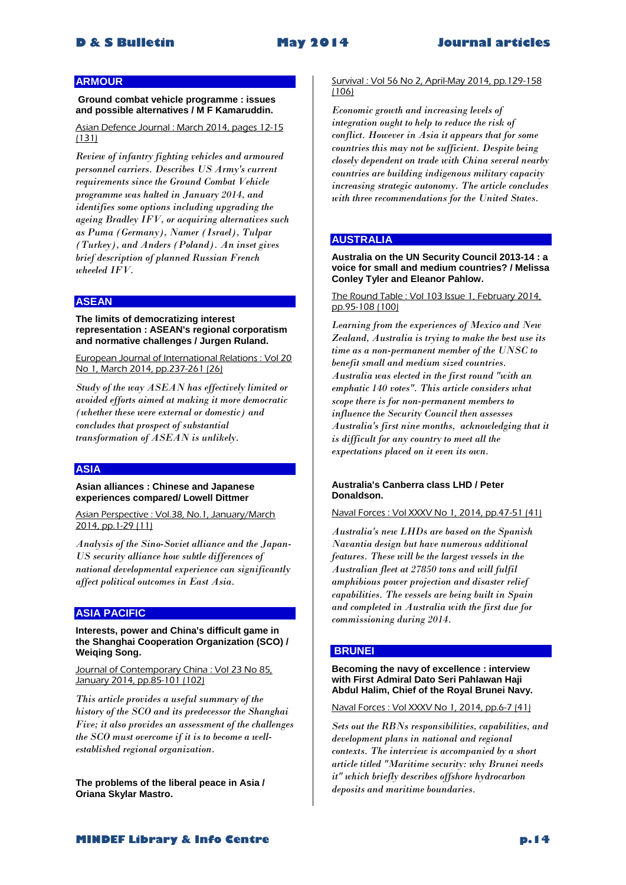### **ARMOUR**

**Ground combat vehicle programme : issues and possible alternatives / M F Kamaruddin.**

Asian Defence Journal : March 2014, pages 12-15 (131)

*Review of infantry fighting vehicles and armoured personnel carriers. Describes US Army's current requirements since the Ground Combat Vehicle programme was halted in January 2014, and identifies some options including upgrading the ageing Bradley IFV, or acquiring alternatives such as Puma (Germany), Namer (Israel), Tulpar (Turkey), and Anders (Poland). An inset gives brief description of planned Russian French wheeled IFV.* 

#### **ASEAN**

**The limits of democratizing interest representation : ASEAN's regional corporatism and normative challenges / Jurgen Ruland.**

European Journal of International Relations : Vol 20 No 1, March 2014, pp.237-261 (26)

*Study of the way ASEAN has effectively limited or avoided efforts aimed at making it more democratic (whether these were external or domestic) and concludes that prospect of substantial transformation of ASEAN is unlikely.* 

#### **ASIA**

**Asian alliances : Chinese and Japanese experiences compared/ Lowell Dittmer**

Asian Perspective : Vol.38, No.1, January/March 2014, pp.1-29 (11)

*Analysis of the Sino-Soviet alliance and the Japan-US security alliance how subtle differences of national developmental experience can significantly affect political outcomes in East Asia.* 

# **ASIA PACIFIC**

**Interests, power and China's difficult game in the Shanghai Cooperation Organization (SCO) / Weiqing Song.**

Journal of Contemporary China : Vol 23 No 85, January 2014, pp.85-101 (102)

*This article provides a useful summary of the history of the SCO and its predecessor the Shanghai Five; it also provides an assessment of the challenges the SCO must overcome if it is to become a wellestablished regional organization.* 

**The problems of the liberal peace in Asia / Oriana Skylar Mastro.**

#### Survival : Vol 56 No 2, April-May 2014, pp.129-158 (106)

*Economic growth and increasing levels of integration ought to help to reduce the risk of conflict. However in Asia it appears that for some countries this may not be sufficient. Despite being closely dependent on trade with China several nearby countries are building indigenous military capacity increasing strategic autonomy. The article concludes with three recommendations for the United States.* 

#### **AUSTRALIA**

**Australia on the UN Security Council 2013-14 : a voice for small and medium countries? / Melissa Conley Tyler and Eleanor Pahlow.**

The Round Table : Vol 103 Issue 1, February 2014, pp.95-108 (100)

*Learning from the experiences of Mexico and New Zealand, Australia is trying to make the best use its time as a non-permanent member of the UNSC to benefit small and medium sized countries. Australia was elected in the first round "with an emphatic 140 votes". This article considers what scope there is for non-permanent members to influence the Security Council then assesses Australia's first nine months, acknowledging that it is difficult for any country to meet all the expectations placed on it even its own.* 

#### **Australia's Canberra class LHD / Peter Donaldson.**

Naval Forces : Vol XXXV No 1, 2014, pp.47-51 (41)

*Australia's new LHDs are based on the Spanish Navantia design but have numerous additional features. These will be the largest vessels in the Australian fleet at 27850 tons and will fulfil amphibious power projection and disaster relief capabilities. The vessels are being built in Spain and completed in Australia with the first due for commissioning during 2014.* 

#### **BRUNEI**

**Becoming the navy of excellence : interview with First Admiral Dato Seri Pahlawan Haji Abdul Halim, Chief of the Royal Brunei Navy.**

Naval Forces : Vol XXXV No 1, 2014, pp.6-7 (41)

*Sets out the RBNs responsibilities, capabilities, and development plans in national and regional contexts. The interview is accompanied by a short article titled "Maritime security: why Brunei needs it" which briefly describes offshore hydrocarbon deposits and maritime boundaries.*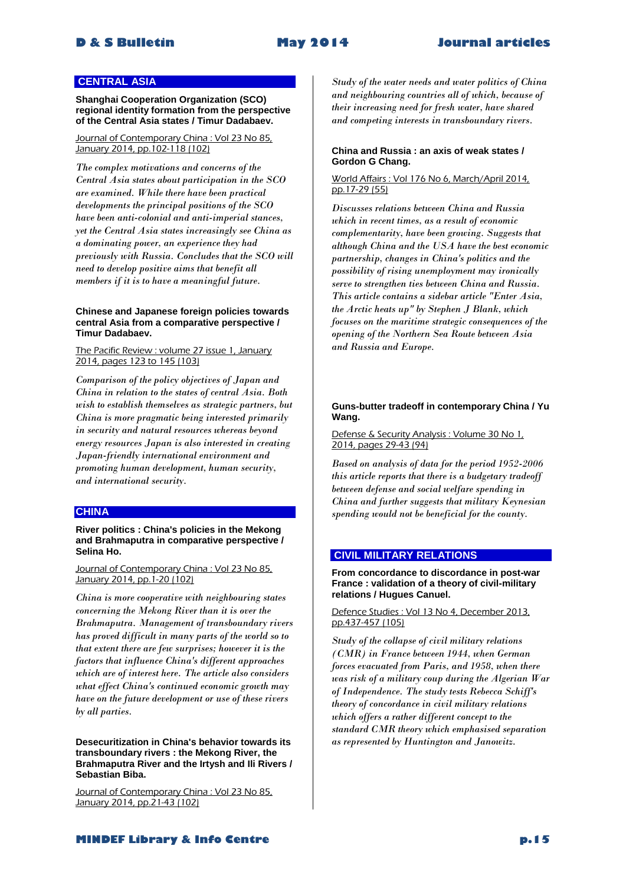# **CENTRAL ASIA**

**Shanghai Cooperation Organization (SCO) regional identity formation from the perspective of the Central Asia states / Timur Dadabaev.**

#### Journal of Contemporary China : Vol 23 No 85, January 2014, pp.102-118 (102)

*The complex motivations and concerns of the Central Asia states about participation in the SCO are examined. While there have been practical developments the principal positions of the SCO have been anti-colonial and anti-imperial stances, yet the Central Asia states increasingly see China as a dominating power, an experience they had previously with Russia. Concludes that the SCO will need to develop positive aims that benefit all members if it is to have a meaningful future.* 

#### **Chinese and Japanese foreign policies towards central Asia from a comparative perspective / Timur Dadabaev.**

#### The Pacific Review : volume 27 issue 1, January 2014, pages 123 to 145 (103)

*Comparison of the policy objectives of Japan and China in relation to the states of central Asia. Both wish to establish themselves as strategic partners, but China is more pragmatic being interested primarily in security and natural resources whereas beyond energy resources Japan is also interested in creating Japan-friendly international environment and promoting human development, human security, and international security.* 

# **CHINA**

**River politics : China's policies in the Mekong and Brahmaputra in comparative perspective / Selina Ho.**

#### Journal of Contemporary China : Vol 23 No 85, January 2014, pp.1-20 (102)

*China is more cooperative with neighbouring states concerning the Mekong River than it is over the Brahmaputra. Management of transboundary rivers has proved difficult in many parts of the world so to that extent there are few surprises; however it is the factors that influence China's different approaches which are of interest here. The article also considers what effect China's continued economic growth may have on the future development or use of these rivers by all parties.* 

**Desecuritization in China's behavior towards its transboundary rivers : the Mekong River, the Brahmaputra River and the Irtysh and Ili Rivers / Sebastian Biba.**

Journal of Contemporary China : Vol 23 No 85, January 2014, pp.21-43 (102)

*Study of the water needs and water politics of China and neighbouring countries all of which, because of their increasing need for fresh water, have shared and competing interests in transboundary rivers.* 

#### **China and Russia : an axis of weak states / Gordon G Chang.**

#### World Affairs : Vol 176 No 6, March/April 2014, pp.17-29 (55)

*Discusses relations between China and Russia which in recent times, as a result of economic complementarity, have been growing. Suggests that although China and the USA have the best economic partnership, changes in China's politics and the possibility of rising unemployment may ironically serve to strengthen ties between China and Russia. This article contains a sidebar article "Enter Asia, the Arctic heats up" by Stephen J Blank, which focuses on the maritime strategic consequences of the opening of the Northern Sea Route between Asia and Russia and Europe.* 

#### **Guns-butter tradeoff in contemporary China / Yu Wang.**

#### Defense & Security Analysis : Volume 30 No 1, 2014, pages 29-43 (94)

*Based on analysis of data for the period 1952-2006 this article reports that there is a budgetary tradeoff between defense and social welfare spending in China and further suggests that military Keynesian spending would not be beneficial for the county.* 

# **CIVIL MILITARY RELATIONS**

**From concordance to discordance in post-war France : validation of a theory of civil-military relations / Hugues Canuel.**

#### Defence Studies : Vol 13 No 4, December 2013, pp.437-457 (105)

*Study of the collapse of civil military relations (CMR) in France between 1944, when German forces evacuated from Paris, and 1958, when there was risk of a military coup during the Algerian War of Independence. The study tests Rebecca Schiff's theory of concordance in civil military relations which offers a rather different concept to the standard CMR theory which emphasised separation as represented by Huntington and Janowitz.*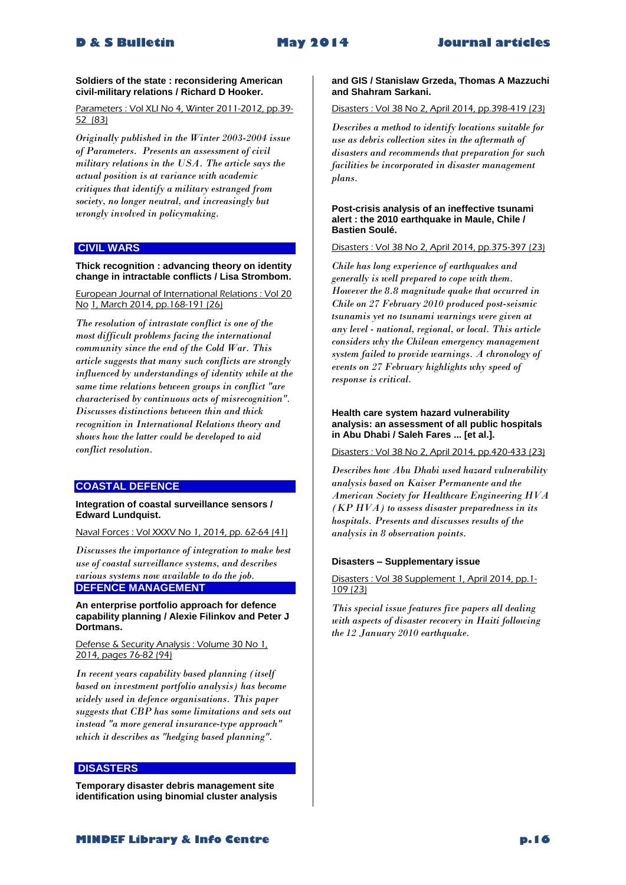#### **Soldiers of the state : reconsidering American civil-military relations / Richard D Hooker.**

Parameters : Vol XLI No 4, Winter 2011-2012, pp.39-52 (83)

*Originally published in the Winter 2003-2004 issue of Parameters. Presents an assessment of civil military relations in the USA. The article says the actual position is at variance with academic critiques that identify a military estranged from society, no longer neutral, and increasingly but wrongly involved in policymaking.* 

# **CIVIL WARS**

#### **Thick recognition : advancing theory on identity change in intractable conflicts / Lisa Strombom.**

European Journal of International Relations : Vol 20 No 1, March 2014, pp.168-191 (26)

*The resolution of intrastate conflict is one of the most difficult problems facing the international community since the end of the Cold War. This article suggests that many such conflicts are strongly influenced by understandings of identity while at the same time relations between groups in conflict "are characterised by continuous acts of misrecognition". Discusses distinctions between thin and thick recognition in International Relations theory and shows how the latter could be developed to aid conflict resolution.* 

# **COASTAL DEFENCE**

#### **Integration of coastal surveillance sensors / Edward Lundquist.**

Naval Forces : Vol XXXV No 1, 2014, pp. 62-64 (41)

*Discusses the importance of integration to make best use of coastal surveillance systems, and describes various systems now available to do the job.*  **DEFENCE MANAGEMENT**

**An enterprise portfolio approach for defence capability planning / Alexie Filinkov and Peter J Dortmans.**

Defense & Security Analysis : Volume 30 No 1, 2014, pages 76-82 (94)

*In recent years capability based planning (itself based on investment portfolio analysis) has become widely used in defence organisations. This paper suggests that CBP has some limitations and sets out instead "a more general insurance-type approach" which it describes as "hedging based planning".* 

# **DISASTERS**

**Temporary disaster debris management site identification using binomial cluster analysis** 

# **and GIS / Stanislaw Grzeda, Thomas A Mazzuchi and Shahram Sarkani.**

Disasters : Vol 38 No 2, April 2014, pp.398-419 (23)

*Describes a method to identify locations suitable for use as debris collection sites in the aftermath of disasters and recommends that preparation for such facilities be incorporated in disaster management plans.* 

#### **Post-crisis analysis of an ineffective tsunami alert : the 2010 earthquake in Maule, Chile / Bastien Soulé.**

Disasters : Vol 38 No 2, April 2014, pp.375-397 (23)

*Chile has long experience of earthquakes and generally is well prepared to cope with them. However the 8.8 magnitude quake that occurred in Chile on 27 February 2010 produced post-seismic tsunamis yet no tsunami warnings were given at any level - national, regional, or local. This article considers why the Chilean emergency management system failed to provide warnings. A chronology of events on 27 February highlights why speed of response is critical.* 

#### **Health care system hazard vulnerability analysis: an assessment of all public hospitals in Abu Dhabi / Saleh Fares ... [et al.].**

Disasters : Vol 38 No 2, April 2014, pp.420-433 (23)

*Describes how Abu Dhabi used hazard vulnerability analysis based on Kaiser Permanente and the American Society for Healthcare Engineering HVA (KP HVA) to assess disaster preparedness in its hospitals. Presents and discusses results of the analysis in 8 observation points.* 

#### **Disasters – Supplementary issue**

Disasters : Vol 38 Supplement 1, April 2014, pp.1- 109 (23)

*This special issue features five papers all dealing with aspects of disaster recovery in Haiti following the 12 January 2010 earthquake.*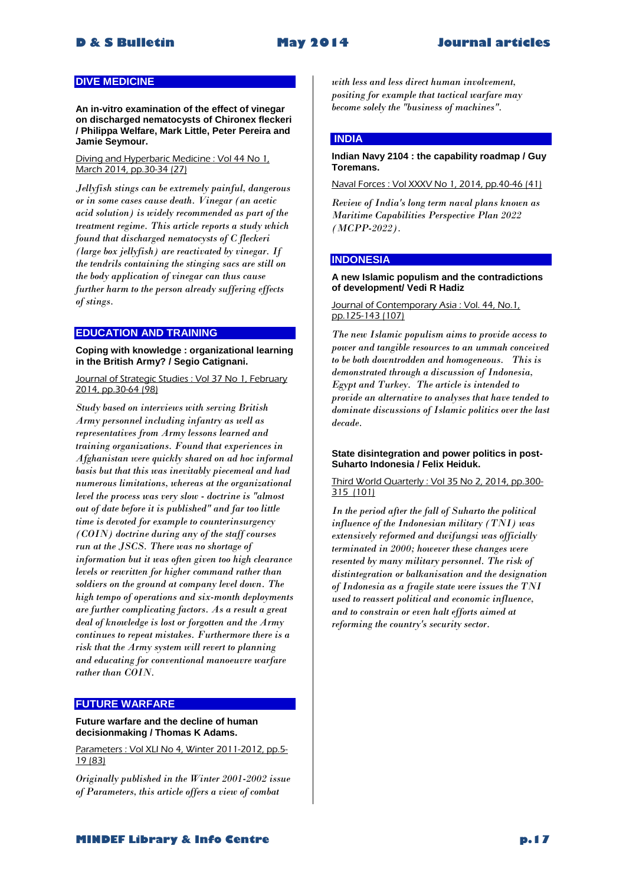# **DIVE MEDICINE**

**An in-vitro examination of the effect of vinegar on discharged nematocysts of Chironex fleckeri / Philippa Welfare, Mark Little, Peter Pereira and Jamie Seymour.**

Diving and Hyperbaric Medicine : Vol 44 No 1, March 2014, pp.30-34 (27)

*Jellyfish stings can be extremely painful, dangerous or in some cases cause death. Vinegar (an acetic acid solution) is widely recommended as part of the treatment regime. This article reports a study which found that discharged nematocysts of C fleckeri (large box jellyfish) are reactivated by vinegar. If the tendrils containing the stinging sacs are still on the body application of vinegar can thus cause further harm to the person already suffering effects of stings.* 

#### **EDUCATION AND TRAINING**

**Coping with knowledge : organizational learning in the British Army? / Segio Catignani.**

Journal of Strategic Studies : Vol 37 No 1, February 2014, pp.30-64 (98)

*Study based on interviews with serving British Army personnel including infantry as well as representatives from Army lessons learned and training organizations. Found that experiences in Afghanistan were quickly shared on ad hoc informal basis but that this was inevitably piecemeal and had numerous limitations, whereas at the organizational level the process was very slow - doctrine is "almost out of date before it is published" and far too little time is devoted for example to counterinsurgency (COIN) doctrine during any of the staff courses run at the JSCS. There was no shortage of information but it was often given too high clearance levels or rewritten for higher command rather than soldiers on the ground at company level down. The high tempo of operations and six-month deployments are further complicating factors. As a result a great deal of knowledge is lost or forgotten and the Army continues to repeat mistakes. Furthermore there is a risk that the Army system will revert to planning and educating for conventional manoeuvre warfare rather than COIN.* 

# **FUTURE WARFARE**

#### **Future warfare and the decline of human decisionmaking / Thomas K Adams.**

Parameters : Vol XLI No 4, Winter 2011-2012, pp.5- 19 (83)

*Originally published in the Winter 2001-2002 issue of Parameters, this article offers a view of combat* 

*with less and less direct human involvement, positing for example that tactical warfare may become solely the "business of machines".* 

### **INDIA**

**Indian Navy 2104 : the capability roadmap / Guy Toremans.**

Naval Forces : Vol XXXV No 1, 2014, pp.40-46 (41)

*Review of India's long term naval plans known as Maritime Capabilities Perspective Plan 2022 (MCPP-2022).* 

#### **INDONESIA**

#### **A new Islamic populism and the contradictions of development/ Vedi R Hadiz**

#### Journal of Contemporary Asia: Vol. 44, No.1, pp.125-143 (107)

*The new Islamic populism aims to provide access to power and tangible resources to an ummah conceived to be both downtrodden and homogeneous. This is demonstrated through a discussion of Indonesia, Egypt and Turkey. The article is intended to provide an alternative to analyses that have tended to dominate discussions of Islamic politics over the last decade.* 

#### **State disintegration and power politics in post-Suharto Indonesia / Felix Heiduk.**

### Third World Quarterly : Vol 35 No 2, 2014, pp.300- 315 (101)

*In the period after the fall of Suharto the political influence of the Indonesian military (TNI) was extensively reformed and dwifungsi was officially terminated in 2000; however these changes were resented by many military personnel. The risk of distintegration or balkanisation and the designation of Indonesia as a fragile state were issues the TNI used to reassert political and economic influence, and to constrain or even halt efforts aimed at reforming the country's security sector.*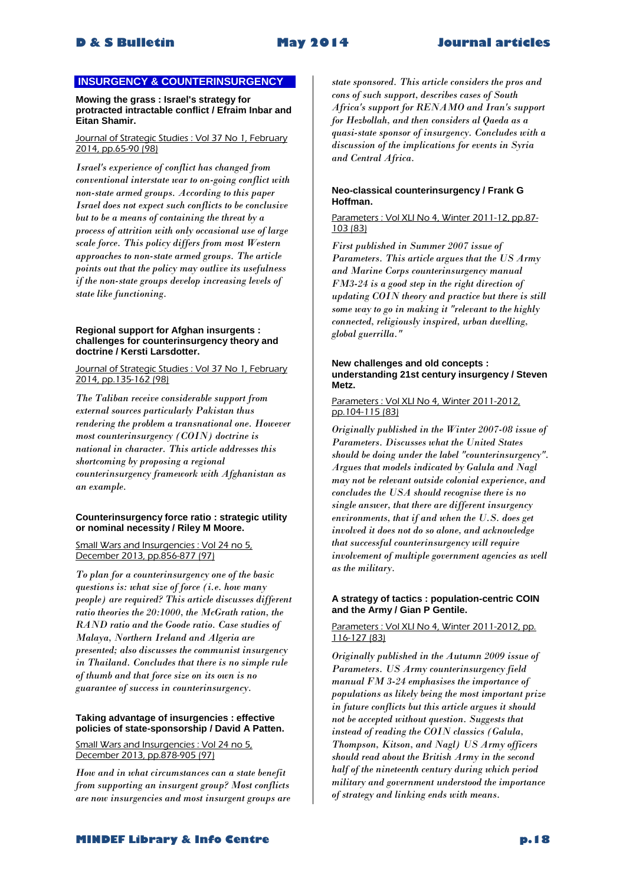# **INSURGENCY & COUNTERINSURGENCY**

**Mowing the grass : Israel's strategy for protracted intractable conflict / Efraim Inbar and Eitan Shamir.**

#### Journal of Strategic Studies : Vol 37 No 1, February 2014, pp.65-90 (98)

*Israel's experience of conflict has changed from conventional interstate war to on-going conflict with non-state armed groups. According to this paper Israel does not expect such conflicts to be conclusive but to be a means of containing the threat by a process of attrition with only occasional use of large scale force. This policy differs from most Western approaches to non-state armed groups. The article points out that the policy may outlive its usefulness if the non-state groups develop increasing levels of state like functioning.* 

#### **Regional support for Afghan insurgents : challenges for counterinsurgency theory and doctrine / Kersti Larsdotter.**

Journal of Strategic Studies : Vol 37 No 1, February 2014, pp.135-162 (98)

*The Taliban receive considerable support from external sources particularly Pakistan thus rendering the problem a transnational one. However most counterinsurgency (COIN) doctrine is national in character. This article addresses this shortcoming by proposing a regional counterinsurgency framework with Afghanistan as an example.* 

#### **Counterinsurgency force ratio : strategic utility or nominal necessity / Riley M Moore.**

Small Wars and Insurgencies : Vol 24 no 5, December 2013, pp.856-877 (97)

*To plan for a counterinsurgency one of the basic questions is: what size of force (i.e. how many people) are required? This article discusses different ratio theories the 20:1000, the McGrath ration, the RAND ratio and the Goode ratio. Case studies of Malaya, Northern Ireland and Algeria are presented; also discusses the communist insurgency in Thailand. Concludes that there is no simple rule of thumb and that force size on its own is no guarantee of success in counterinsurgency.* 

#### **Taking advantage of insurgencies : effective policies of state-sponsorship / David A Patten.**

Small Wars and Insurgencies : Vol 24 no 5. December 2013, pp.878-905 (97)

*How and in what circumstances can a state benefit from supporting an insurgent group? Most conflicts are now insurgencies and most insurgent groups are* 

*state sponsored. This article considers the pros and cons of such support, describes cases of South Africa's support for RENAMO and Iran's support for Hezbollah, and then considers al Qaeda as a quasi-state sponsor of insurgency. Concludes with a discussion of the implications for events in Syria and Central Africa.* 

### **Neo-classical counterinsurgency / Frank G Hoffman.**

#### Parameters : Vol XLI No 4, Winter 2011-12, pp.87- 103 (83)

*First published in Summer 2007 issue of Parameters. This article argues that the US Army and Marine Corps counterinsurgency manual FM3-24 is a good step in the right direction of updating COIN theory and practice but there is still some way to go in making it "relevant to the highly connected, religiously inspired, urban dwelling, global guerrilla."* 

#### **New challenges and old concepts : understanding 21st century insurgency / Steven Metz.**

#### Parameters : Vol XLI No 4, Winter 2011-2012, pp.104-115 (83)

*Originally published in the Winter 2007-08 issue of Parameters. Discusses what the United States should be doing under the label "counterinsurgency". Argues that models indicated by Galula and Nagl may not be relevant outside colonial experience, and concludes the USA should recognise there is no single answer, that there are different insurgency environments, that if and when the U.S. does get involved it does not do so alone, and acknowledge that successful counterinsurgency will require involvement of multiple government agencies as well as the military.*

#### **A strategy of tactics : population-centric COIN and the Army / Gian P Gentile.**

#### Parameters : Vol XLI No 4, Winter 2011-2012, pp. 116-127 (83)

*Originally published in the Autumn 2009 issue of Parameters. US Army counterinsurgency field manual FM 3-24 emphasises the importance of populations as likely being the most important prize in future conflicts but this article argues it should not be accepted without question. Suggests that instead of reading the COIN classics (Galula, Thompson, Kitson, and Nagl) US Army officers should read about the British Army in the second half of the nineteenth century during which period military and government understood the importance of strategy and linking ends with means.*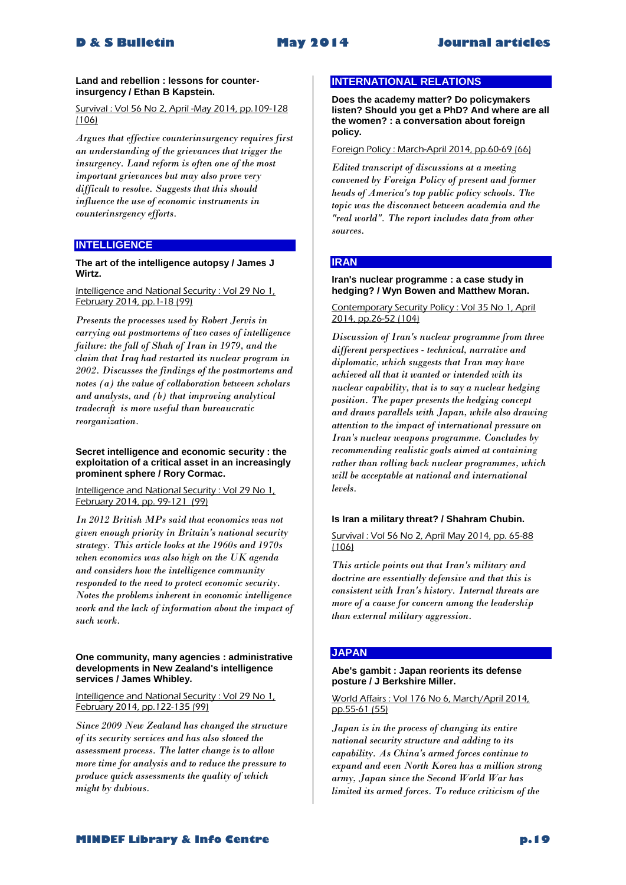#### **Land and rebellion : lessons for counterinsurgency / Ethan B Kapstein.**

Survival : Vol 56 No 2, April -May 2014, pp.109-128 (106)

*Argues that effective counterinsurgency requires first an understanding of the grievances that trigger the insurgency. Land reform is often one of the most important grievances but may also prove very difficult to resolve. Suggests that this should influence the use of economic instruments in counterinsrgency efforts.* 

# **INTELLIGENCE**

#### **The art of the intelligence autopsy / James J Wirtz.**

Intelligence and National Security : Vol 29 No 1, February 2014, pp.1-18 (99)

*Presents the processes used by Robert Jervis in carrying out postmortems of two cases of intelligence failure: the fall of Shah of Iran in 1979, and the claim that Iraq had restarted its nuclear program in 2002. Discusses the findings of the postmortems and notes (a) the value of collaboration between scholars and analysts, and (b) that improving analytical tradecraft is more useful than bureaucratic reorganization.* 

#### **Secret intelligence and economic security : the exploitation of a critical asset in an increasingly prominent sphere / Rory Cormac.**

Intelligence and National Security : Vol 29 No 1, February 2014, pp. 99-121 (99)

*In 2012 British MPs said that economics was not given enough priority in Britain's national security strategy. This article looks at the 1960s and 1970s when economics was also high on the UK agenda and considers how the intelligence community responded to the need to protect economic security. Notes the problems inherent in economic intelligence work and the lack of information about the impact of such work.* 

#### **One community, many agencies : administrative developments in New Zealand's intelligence services / James Whibley.**

#### Intelligence and National Security : Vol 29 No 1, February 2014, pp.122-135 (99)

*Since 2009 New Zealand has changed the structure of its security services and has also slowed the assessment process. The latter change is to allow more time for analysis and to reduce the pressure to produce quick assessments the quality of which might by dubious.* 

### **INTERNATIONAL RELATIONS**

**Does the academy matter? Do policymakers listen? Should you get a PhD? And where are all the women? : a conversation about foreign policy.**

Foreign Policy : March-April 2014, pp.60-69 (66)

*Edited transcript of discussions at a meeting convened by Foreign Policy of present and former heads of America's top public policy schools. The topic was the disconnect between academia and the "real world". The report includes data from other sources.* 

# **IRAN**

#### **Iran's nuclear programme : a case study in hedging? / Wyn Bowen and Matthew Moran.**

Contemporary Security Policy : Vol 35 No 1, April 2014, pp.26-52 (104)

*Discussion of Iran's nuclear programme from three different perspectives - technical, narrative and diplomatic, which suggests that Iran may have achieved all that it wanted or intended with its nuclear capability, that is to say a nuclear hedging position. The paper presents the hedging concept and draws parallels with Japan, while also drawing attention to the impact of international pressure on Iran's nuclear weapons programme. Concludes by recommending realistic goals aimed at containing rather than rolling back nuclear programmes, which will be acceptable at national and international levels.* 

#### **Is Iran a military threat? / Shahram Chubin.**

#### Survival : Vol 56 No 2, April May 2014, pp. 65-88 (106)

*This article points out that Iran's military and doctrine are essentially defensive and that this is consistent with Iran's history. Internal threats are more of a cause for concern among the leadership than external military aggression.* 

# **JAPAN**

#### **Abe's gambit : Japan reorients its defense posture / J Berkshire Miller.**

World Affairs : Vol 176 No 6, March/April 2014, pp.55-61 (55)

*Japan is in the process of changing its entire national security structure and adding to its capability. As China's armed forces continue to expand and even North Korea has a million strong army, Japan since the Second World War has limited its armed forces. To reduce criticism of the*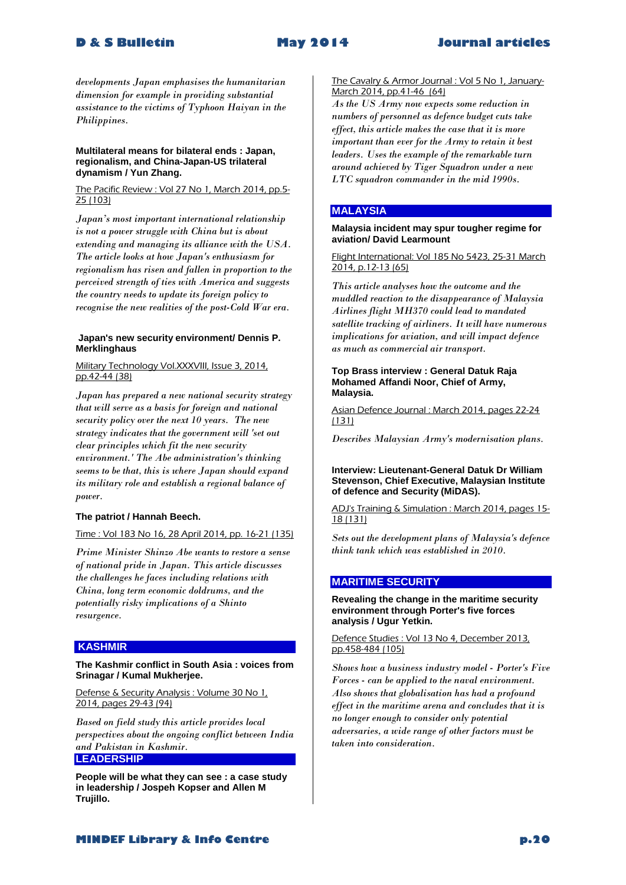*developments Japan emphasises the humanitarian dimension for example in providing substantial assistance to the victims of Typhoon Haiyan in the Philippines.* 

#### **Multilateral means for bilateral ends : Japan, regionalism, and China-Japan-US trilateral dynamism / Yun Zhang.**

The Pacific Review : Vol 27 No 1, March 2014, pp.5- 25 (103)

*Japan's most important international relationship is not a power struggle with China but is about extending and managing its alliance with the USA. The article looks at how Japan's enthusiasm for regionalism has risen and fallen in proportion to the perceived strength of ties with America and suggests the country needs to update its foreign policy to recognise the new realities of the post-Cold War era.* 

#### **Japan's new security environment/ Dennis P. Merklinghaus**

Military Technology Vol.XXXVIII, Issue 3, 2014, pp.42-44 (38)

*Japan has prepared a new national security strategy that will serve as a basis for foreign and national security policy over the next 10 years. The new strategy indicates that the government will 'set out clear principles which fit the new security environment.' The Abe administration's thinking seems to be that, this is where Japan should expand its military role and establish a regional balance of power.*

#### **The patriot / Hannah Beech.**

#### Time : Vol 183 No 16, 28 April 2014, pp. 16-21 (135)

*Prime Minister Shinzo Abe wants to restore a sense of national pride in Japan. This article discusses the challenges he faces including relations with China, long term economic doldrums, and the potentially risky implications of a Shinto resurgence.* 

# **KASHMIR**

#### **The Kashmir conflict in South Asia : voices from Srinagar / Kumal Mukherjee.**

Defense & Security Analysis : Volume 30 No 1, 2014, pages 29-43 (94)

*Based on field study this article provides local perspectives about the ongoing conflict between India and Pakistan in Kashmir.* 

# **LEADERSHIP**

**People will be what they can see : a case study in leadership / Jospeh Kopser and Allen M Trujillo.**

The Cavalry & Armor Journal : Vol 5 No 1, January-March 2014, pp.41-46 (64)

*As the US Army now expects some reduction in numbers of personnel as defence budget cuts take effect, this article makes the case that it is more important than ever for the Army to retain it best leaders. Uses the example of the remarkable turn around achieved by Tiger Squadron under a new LTC squadron commander in the mid 1990s.* 

# **MALAYSIA**

**Malaysia incident may spur tougher regime for aviation/ David Learmount**

Flight International: Vol 185 No 5423, 25-31 March 2014, p.12-13 (65)

*This article analyses how the outcome and the muddled reaction to the disappearance of Malaysia Airlines flight MH370 could lead to mandated satellite tracking of airliners. It will have numerous implications for aviation, and will impact defence as much as commercial air transport.* 

#### **Top Brass interview : General Datuk Raja Mohamed Affandi Noor, Chief of Army, Malaysia.**

Asian Defence Journal : March 2014, pages 22-24 (131)

*Describes Malaysian Army's modernisation plans.* 

#### **Interview: Lieutenant-General Datuk Dr William Stevenson, Chief Executive, Malaysian Institute of defence and Security (MiDAS).**

ADJ's Training & Simulation : March 2014, pages 15- 18 (131)

*Sets out the development plans of Malaysia's defence think tank which was established in 2010.* 

# **MARITIME SECURITY**

#### **Revealing the change in the maritime security environment through Porter's five forces analysis / Ugur Yetkin.**

#### Defence Studies : Vol 13 No 4, December 2013, pp.458-484 (105)

*Shows how a business industry model - Porter's Five Forces - can be applied to the naval environment. Also shows that globalisation has had a profound effect in the maritime arena and concludes that it is no longer enough to consider only potential adversaries, a wide range of other factors must be taken into consideration.*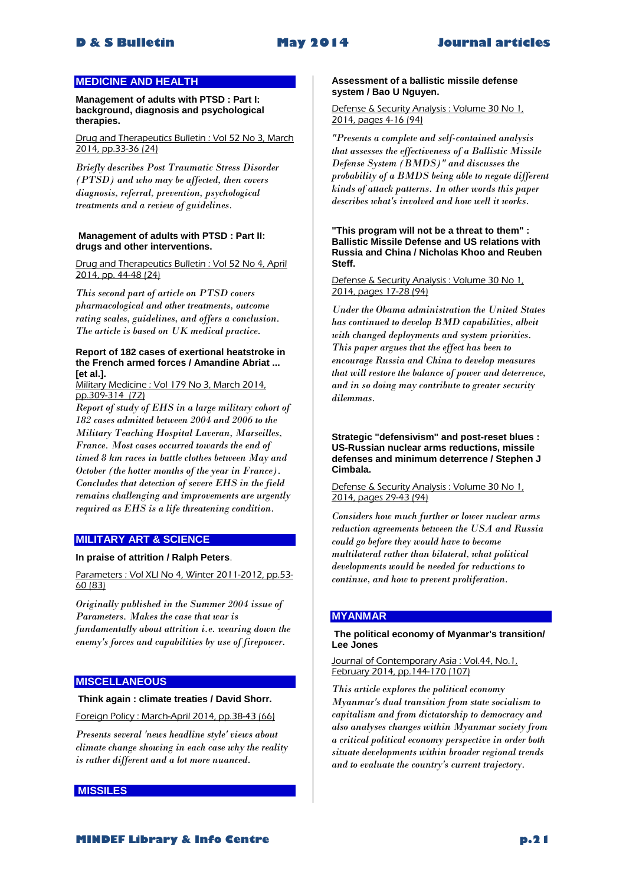# **MEDICINE AND HEALTH**

**Management of adults with PTSD : Part I: background, diagnosis and psychological therapies.**

Drug and Therapeutics Bulletin : Vol 52 No 3, March 2014, pp.33-36 (24)

*Briefly describes Post Traumatic Stress Disorder (PTSD) and who may be affected, then covers diagnosis, referral, prevention, psychological treatments and a review of guidelines.* 

#### **Management of adults with PTSD : Part II: drugs and other interventions.**

Drug and Therapeutics Bulletin : Vol 52 No 4, April 2014, pp. 44-48 (24)

*This second part of article on PTSD covers pharmacological and other treatments, outcome rating scales, guidelines, and offers a conclusion. The article is based on UK medical practice.* 

#### **Report of 182 cases of exertional heatstroke in the French armed forces / Amandine Abriat ... [et al.].**

Military Medicine : Vol 179 No 3, March 2014, pp.309-314 (72)

*Report of study of EHS in a large military cohort of 182 cases admitted between 2004 and 2006 to the Military Teaching Hospital Laveran, Marseilles, France. Most cases occurred towards the end of timed 8 km races in battle clothes between May and October (the hotter months of the year in France). Concludes that detection of severe EHS in the field remains challenging and improvements are urgently required as EHS is a life threatening condition.* 

# **MILITARY ART & SCIENCE**

#### **In praise of attrition / Ralph Peters**.

Parameters : Vol XLI No 4, Winter 2011-2012, pp.53-60 (83)

*Originally published in the Summer 2004 issue of Parameters. Makes the case that war is fundamentally about attrition i.e. wearing down the enemy's forces and capabilities by use of firepower.* 

#### **MISCELLANEOUS**

#### **Think again : climate treaties / David Shorr.**

Foreign Policy : March-April 2014, pp.38-43 (66)

*Presents several 'news headline style' views about climate change showing in each case why the reality is rather different and a lot more nuanced.* 

#### **MISSILES**

#### **Assessment of a ballistic missile defense system / Bao U Nguyen.**

#### Defense & Security Analysis : Volume 30 No 1, 2014, pages 4-16 (94)

*"Presents a complete and self-contained analysis that assesses the effectiveness of a Ballistic Missile Defense System (BMDS)" and discusses the probability of a BMDS being able to negate different kinds of attack patterns. In other words this paper describes what's involved and how well it works.* 

**"This program will not be a threat to them" : Ballistic Missile Defense and US relations with Russia and China / Nicholas Khoo and Reuben Steff.**

#### Defense & Security Analysis : Volume 30 No 1, 2014, pages 17-28 (94)

*Under the Obama administration the United States has continued to develop BMD capabilities, albeit with changed deployments and system priorities. This paper argues that the effect has been to encourage Russia and China to develop measures that will restore the balance of power and deterrence, and in so doing may contribute to greater security dilemmas.* 

**Strategic "defensivism" and post-reset blues : US-Russian nuclear arms reductions, missile defenses and minimum deterrence / Stephen J Cimbala.**

Defense & Security Analysis : Volume 30 No 1, 2014, pages 29-43 (94)

*Considers how much further or lower nuclear arms reduction agreements between the USA and Russia could go before they would have to become multilateral rather than bilateral, what political developments would be needed for reductions to continue, and how to prevent proliferation.* 

#### **MYANMAR**

#### **The political economy of Myanmar's transition/ Lee Jones**

Journal of Contemporary Asia : Vol.44, No.1, February 2014, pp.144-170 (107)

*This article explores the political economy Myanmar's dual transition from state socialism to capitalism and from dictatorship to democracy and also analyses changes within Myanmar society from a critical political economy perspective in order both situate developments within broader regional trends and to evaluate the country's current trajectory.*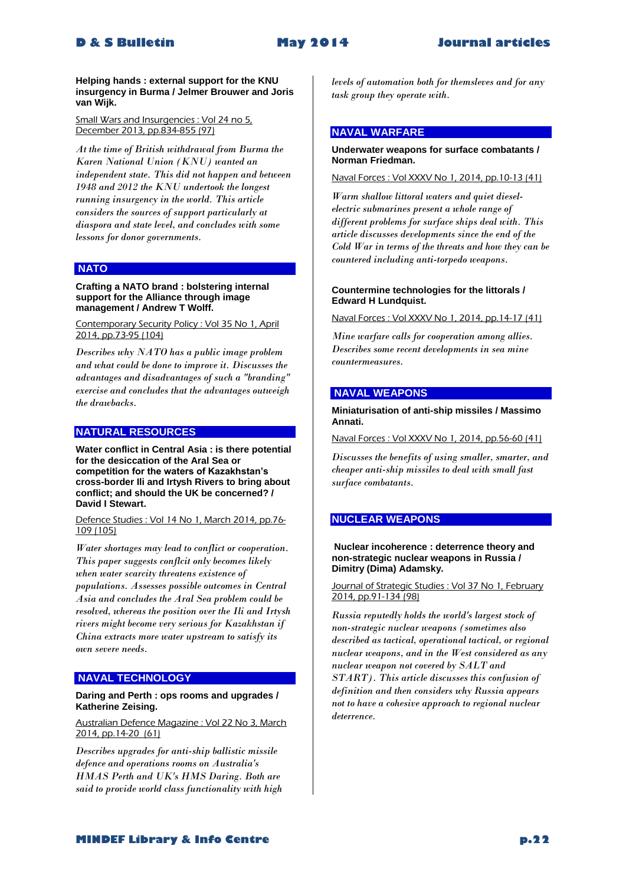**Helping hands : external support for the KNU insurgency in Burma / Jelmer Brouwer and Joris van Wijk.**

#### Small Wars and Insurgencies : Vol 24 no 5, December 2013, pp.834-855 (97)

*At the time of British withdrawal from Burma the Karen National Union (KNU) wanted an independent state. This did not happen and between 1948 and 2012 the KNU undertook the longest running insurgency in the world. This article considers the sources of support particularly at diaspora and state level, and concludes with some lessons for donor governments.* 

#### **NATO**

#### **Crafting a NATO brand : bolstering internal support for the Alliance through image management / Andrew T Wolff.**

Contemporary Security Policy : Vol 35 No 1, April 2014, pp.73-95 (104)

*Describes why NATO has a public image problem and what could be done to improve it. Discusses the advantages and disadvantages of such a "branding" exercise and concludes that the advantages outweigh the drawbacks.* 

#### **NATURAL RESOURCES**

**Water conflict in Central Asia : is there potential for the desiccation of the Aral Sea or competition for the waters of Kazakhstan's cross-border Ili and Irtysh Rivers to bring about conflict; and should the UK be concerned? / David I Stewart.**

Defence Studies : Vol 14 No 1, March 2014, pp.76- 109 (105)

*Water shortages may lead to conflict or cooperation. This paper suggests conflcit only becomes likely when water scarcity threatens existence of populations. Assesses possible outcomes in Central Asia and concludes the Aral Sea problem could be resolved, whereas the position over the Ili and Irtysh rivers might become very serious for Kazakhstan if China extracts more water upstream to satisfy its own severe needs.* 

# **NAVAL TECHNOLOGY**

#### **Daring and Perth : ops rooms and upgrades / Katherine Zeising.**

Australian Defence Magazine : Vol 22 No 3, March 2014, pp.14-20 (61)

*Describes upgrades for anti-ship ballistic missile defence and operations rooms on Australia's HMAS Perth and UK's HMS Daring. Both are said to provide world class functionality with high*  *levels of automation both for themsleves and for any task group they operate with.* 

#### **NAVAL WARFARE**

#### **Underwater weapons for surface combatants / Norman Friedman.**

#### Naval Forces : Vol XXXV No 1, 2014, pp.10-13 (41)

*Warm shallow littoral waters and quiet dieselelectric submarines present a whole range of different problems for surface ships deal with. This article discusses developments since the end of the Cold War in terms of the threats and how they can be countered including anti-torpedo weapons.* 

#### **Countermine technologies for the littorals / Edward H Lundquist.**

Naval Forces : Vol XXXV No 1, 2014, pp.14-17 (41)

*Mine warfare calls for cooperation among allies. Describes some recent developments in sea mine countermeasures.* 

### **NAVAL WEAPONS**

#### **Miniaturisation of anti-ship missiles / Massimo Annati.**

Naval Forces : Vol XXXV No 1, 2014, pp.56-60 (41)

*Discusses the benefits of using smaller, smarter, and cheaper anti-ship missiles to deal with small fast surface combatants.* 

#### **NUCLEAR WEAPONS**

#### **Nuclear incoherence : deterrence theory and non-strategic nuclear weapons in Russia / Dimitry (Dima) Adamsky.**

Journal of Strategic Studies : Vol 37 No 1, February 2014, pp.91-134 (98)

*Russia reputedly holds the world's largest stock of non-strategic nuclear weapons (sometimes also described as tactical, operational tactical, or regional nuclear weapons, and in the West considered as any nuclear weapon not covered by SALT and START). This article discusses this confusion of definition and then considers why Russia appears not to have a cohesive approach to regional nuclear deterrence.*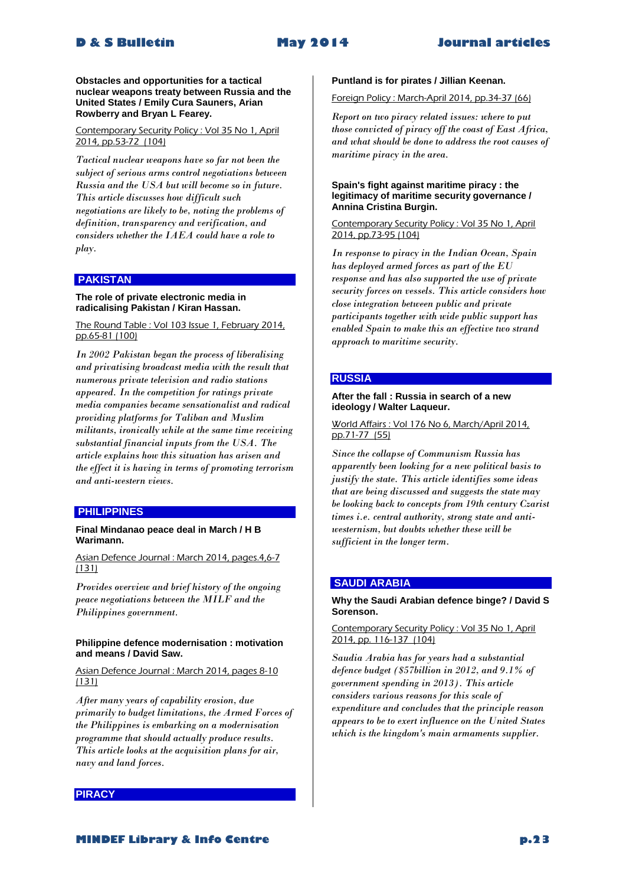# **D & S Bulletin May 2014 Journal articles**

**Obstacles and opportunities for a tactical nuclear weapons treaty between Russia and the United States / Emily Cura Sauners, Arian Rowberry and Bryan L Fearey.**

Contemporary Security Policy : Vol 35 No 1, April 2014, pp.53-72 (104)

*Tactical nuclear weapons have so far not been the subject of serious arms control negotiations between Russia and the USA but will become so in future. This article discusses how difficult such negotiations are likely to be, noting the problems of definition, transparency and verification, and considers whether the IAEA could have a role to play.* 

# **PAKISTAN**

#### **The role of private electronic media in radicalising Pakistan / Kiran Hassan.**

The Round Table : Vol 103 Issue 1, February 2014, pp.65-81 (100)

*In 2002 Pakistan began the process of liberalising and privatising broadcast media with the result that numerous private television and radio stations appeared. In the competition for ratings private media companies became sensationalist and radical providing platforms for Taliban and Muslim militants, ironically while at the same time receiving substantial financial inputs from the USA. The article explains how this situation has arisen and the effect it is having in terms of promoting terrorism and anti-western views.* 

# **PHILIPPINES**

#### **Final Mindanao peace deal in March / H B Warimann.**

Asian Defence Journal : March 2014, pages.4,6-7 (131)

*Provides overview and brief history of the ongoing peace negotiations between the MILF and the Philippines government.* 

#### **Philippine defence modernisation : motivation and means / David Saw.**

# Asian Defence Journal : March 2014, pages 8-10 (131)

*After many years of capability erosion, due primarily to budget limitations, the Armed Forces of the Philippines is embarking on a modernisation programme that should actually produce results. This article looks at the acquisition plans for air, navy and land forces.* 

### **PIRACY**

#### **Puntland is for pirates / Jillian Keenan.**

# Foreign Policy : March-April 2014, pp.34-37 (66)

*Report on two piracy related issues: where to put those convicted of piracy off the coast of East Africa, and what should be done to address the root causes of maritime piracy in the area.* 

#### **Spain's fight against maritime piracy : the legitimacy of maritime security governance / Annina Cristina Burgin.**

#### Contemporary Security Policy : Vol 35 No 1, April 2014, pp.73-95 (104)

*In response to piracy in the Indian Ocean, Spain has deployed armed forces as part of the EU response and has also supported the use of private security forces on vessels. This article considers how close integration between public and private participants together with wide public support has enabled Spain to make this an effective two strand approach to maritime security.* 

#### **RUSSIA**

#### **After the fall : Russia in search of a new ideology / Walter Laqueur.**

World Affairs : Vol 176 No 6, March/April 2014, pp.71-77 (55)

*Since the collapse of Communism Russia has apparently been looking for a new political basis to justify the state. This article identifies some ideas that are being discussed and suggests the state may be looking back to concepts from 19th century Czarist times i.e. central authority, strong state and antiwesternism, but doubts whether these will be sufficient in the longer term.* 

# **SAUDI ARABIA**

#### **Why the Saudi Arabian defence binge? / David S Sorenson.**

#### Contemporary Security Policy : Vol 35 No 1, April 2014, pp. 116-137 (104)

*Saudia Arabia has for years had a substantial defence budget (\$57billion in 2012, and 9.1% of government spending in 2013). This article considers various reasons for this scale of expenditure and concludes that the principle reason appears to be to exert influence on the United States which is the kingdom's main armaments supplier.* 

**MINDEF Library & Info Centre p.23**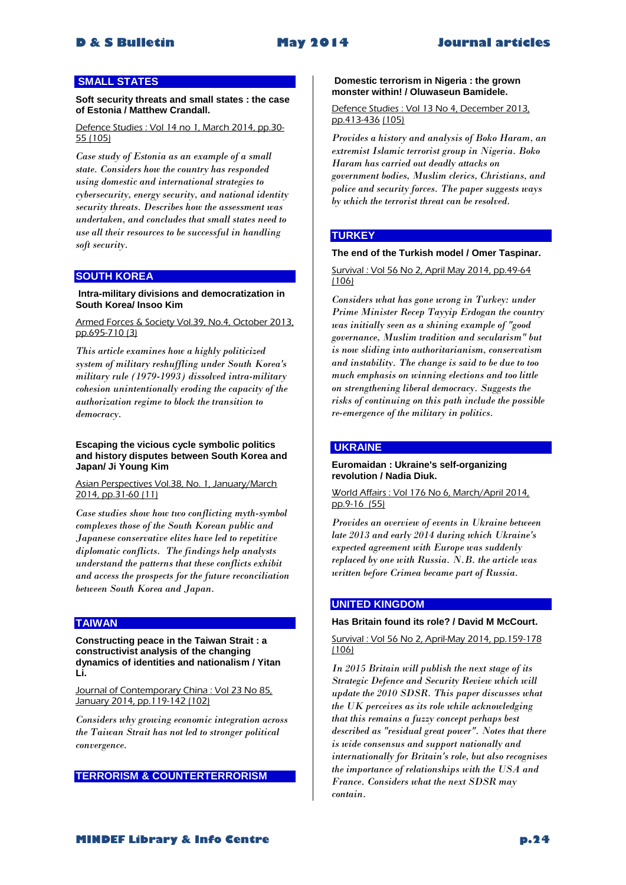# **SMALL STATES**

**Soft security threats and small states : the case of Estonia / Matthew Crandall.**

Defence Studies : Vol 14 no 1, March 2014, pp.30- 55 (105)

*Case study of Estonia as an example of a small state. Considers how the country has responded using domestic and international strategies to cybersecurity, energy security, and national identity security threats. Describes how the assessment was undertaken, and concludes that small states need to use all their resources to be successful in handling soft security.* 

#### **SOUTH KOREA**

#### **Intra-military divisions and democratization in South Korea/ Insoo Kim**

Armed Forces & Society Vol.39, No.4, October 2013, pp.695-710 (3)

*This article examines how a highly politicized system of military reshuffling under South Korea's military rule (1979-1993) dissolved intra-military cohesion unintentionally eroding the capacity of the authorization regime to block the transition to democracy.* 

#### **Escaping the vicious cycle symbolic politics and history disputes between South Korea and Japan/ Ji Young Kim**

Asian Perspectives Vol.38, No. 1, January/March 2014, pp.31-60 (11)

*Case studies show how two conflicting myth-symbol complexes those of the South Korean public and Japanese conservative elites have led to repetitive diplomatic conflicts. The findings help analysts understand the patterns that these conflicts exhibit and access the prospects for the future reconciliation between South Korea and Japan.* 

#### **TAIWAN**

**Constructing peace in the Taiwan Strait : a constructivist analysis of the changing dynamics of identities and nationalism / Yitan Li.**

Journal of Contemporary China : Vol 23 No 85, January 2014, pp.119-142 (102)

*Considers why growing economic integration across the Taiwan Strait has not led to stronger political convergence.* 

**TERRORISM & COUNTERTERRORISM**

#### **Domestic terrorism in Nigeria : the grown monster within! / Oluwaseun Bamidele.**

Defence Studies : Vol 13 No 4, December 2013, pp.413-436 (105)

*Provides a history and analysis of Boko Haram, an extremist Islamic terrorist group in Nigeria. Boko Haram has carried out deadly attacks on government bodies, Muslim clerics, Christians, and police and security forces. The paper suggests ways by which the terrorist threat can be resolved.* 

#### **TURKEY**

#### **The end of the Turkish model / Omer Taspinar.**

Survival : Vol 56 No 2, April May 2014, pp.49-64 (106)

*Considers what has gone wrong in Turkey: under Prime Minister Recep Tayyip Erdogan the country was initially seen as a shining example of "good governance, Muslim tradition and secularism" but is now sliding into authoritarianism, conservatism and instability. The change is said to be due to too much emphasis on winning elections and too little on strengthening liberal democracy. Suggests the risks of continuing on this path include the possible re-emergence of the military in politics.* 

### **UKRAINE**

#### **Euromaidan : Ukraine's self-organizing revolution / Nadia Diuk.**

World Affairs : Vol 176 No 6, March/April 2014, pp.9-16 (55)

*Provides an overview of events in Ukraine between late 2013 and early 2014 during which Ukraine's expected agreement with Europe was suddenly replaced by one with Russia. N.B. the article was written before Crimea became part of Russia.* 

# **UNITED KINGDOM**

#### **Has Britain found its role? / David M McCourt.**

Survival : Vol 56 No 2, April-May 2014, pp.159-178 (106)

*In 2015 Britain will publish the next stage of its Strategic Defence and Security Review which will update the 2010 SDSR. This paper discusses what the UK perceives as its role while acknowledging that this remains a fuzzy concept perhaps best described as "residual great power". Notes that there is wide consensus and support nationally and internationally for Britain's role, but also recognises the importance of relationships with the USA and France. Considers what the next SDSR may contain.*